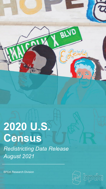# **2020 U.S. Census**

*Redistricting Data Release August 2021*

BPDA Research Division



Ø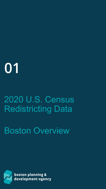# **01**

## 2020 U.S. Census Redistricting Data

### Boston Overview

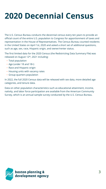### **2020 Decennial Census**

The U.S. Census Bureau conducts the decennial census every ten years to provide an official count of the entire U.S. population to Congress for apportionment of taxes and representation in the House of Representatives. The Census Bureau counted residents in the United States on April 1st, 2020 and asked a short set of additional questions, such as age, sex, race, Hispanic origin, and owner/renter status.

The first limited data for the 2020 Census (the Redistricting Data Summary File) was released on August 12<sup>th</sup>, 2021 including:

- Total population
- Age (under 18 and 18+)
- Race and Hispanic origin
- **Housing units with vacancy rates**
- **Group quarters population**

In 2022, the full 2020 Census data will be released with sex data, more detailed age categories, and tenure data.

Data on other population characteristics such as educational attainment, income, nativity, and labor force participation are available from the American Community Survey, which is an annual sample survey conducted by the U.S. Census Bureau.

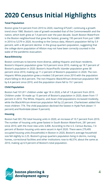#### **2020 Census Initial Highlights**

#### **Total Population**

Boston grew 9.4 percent from 2010 to 2020, reaching 675,647, continuing a growth trend since 1980. Boston's rate of growth exceeded that of the Commonwealth and the nation, which both grew at 7.4 percent over the past decade. South Boston Waterfront is the Boston neighborhood that grew the fastest, growing 195 percent from just 1,889 in 2010 to 5,579 in 2020. According to the Census data, Allston's population fell by 5.9 percent, with a 40 percent decline in the group quarters population, suggesting that the college dorm population of Allston may not have been correctly counted in the wake of the pandemic evacuation.

#### **Race/Ethnicity**

Boston continues to become more diverse, adding Hispanic and Asian residents. Boston's Hispanic population grew 16.9 percent since 2010, making up 18.7 percent of Boston's population in 2020. Boston's Asian/Pacific Islander population grew 38 percent since 2010, making up 11.2 percent of Boston's population in 2020. The non-Hispanic White population grew a modest 3.8 percent since 2010 with the population share falling to 44.6 percent. The non-Hispanic Black/African-American population fell by 6.4 percent since 2010, and the population share fell to 19.1 percent.

#### **Child Population**

Boston had 101,811 children under age 18 in 2020, a fall of 1.8 percent from 2010. Children under 18 made up 15 percent of Boston's population in 2020, down from 17 percent in 2010. The White, Hispanic, and Asian child populations increased modestly, while the Black/African-American population fell by 22 percent. Charlestown added the most children: 774. The child population declined the fastest in Hyde Park (down 11 percent) and Roslindale (down 9 percent).

#### **Housing**

Boston had 301,702 total housing units in 2020, an increase of 10.7 percent from 2010. The number of housing units grew fastest in South Boston Waterfront, 281 percent since 2010, with the most new units 3,408. According to the U.S. Census Bureau, 7.4 percent of Boston housing units were vacant in April 2020. There were 279,495 occupied housing units (households) in Boston in 2020**.** Boston's average household size fell slightly to 2.25. Boston's group quarters population living in dorms, nursing homes, correctional facilities and other institutions rose to 46,574, about the same as 2010, making up 6.9 percent of Boston's total population.

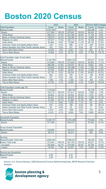#### **Boston 2020 Census**

|                                                  | 2010      |        | 2020      |              |                | 2010 to 2020 Change |
|--------------------------------------------------|-----------|--------|-----------|--------------|----------------|---------------------|
| <b>Total Population</b>                          | Count     | Share  | Count     | <b>Share</b> | Count          | Percent             |
| <b>Massachusetts</b>                             | 6,547,629 |        | 7,029,917 |              | 482,288        | 7.4%                |
| <b>Boston</b>                                    | 617,594   | 100.0% | 675,647   | 100.0%       | 58,053         | 9.4%                |
| <b>White Alone</b>                               | 290,312   | 47.0%  | 301,464   | 44.6%        | 11,152         | 3.8%                |
| <b>Black or African American Alone</b>           | 138,073   | 22.4%  | 129,264   | 19.1%        | $-8,809$       | $-6.4%$             |
| Hispanic or Latino                               | 107,917   | 17.5%  | 126,113   | 18.7%        | 18,196         | 16.9%               |
| <b>Asian Alone</b>                               | 54,846    | 8.9%   | 75,588    | 11.2%        | 20,742         | 37.8%               |
| American Indian and Alaska Native Alone          | 1,227     | 0.2%   | 989       | 0.1%         | $-238$         | $-19.4%$            |
| Native Hawaiian and Other Pacific Islander Alone | 182       | 0.0%   | 251       | 0.0%         | 69             | 37.9%               |
| Some Other Race Alone                            | 10,078    | 1.6%   | 9,257     | 1.4%         | $-821$         | $-8.1%$             |
| Two or More Races                                | 14,959    | 2.4%   | 32,721    | 4.8%         | 17,762         | 118.7%              |
|                                                  |           |        |           |              |                |                     |
| Adult Population (age 18 and older)              |           |        |           |              |                |                     |
| <b>Massachusetts</b>                             | 5,128,706 |        | 5,663,723 |              | 535,017        | 10.4%               |
| <b>Boston</b>                                    | 513,884   | 100.0% | 573,836   | 100.0%       | 59,952         | 11.7%               |
| <b>White Alone</b>                               | 266,389   | 51.8%  | 276,031   | 48.1%        | 9,642          | 3.6%                |
| <b>Black or African American Alone</b>           | 103,642   | 20.2%  | 102,289   | 17.8%        | $-1,353$       | $-1.3%$             |
| <b>Hispanic or Latino</b>                        | 76,708    | 14.9%  | 94,207    | 16.4%        | 17,499         | 22.8%               |
| <b>Asian Alone</b>                               | 47,733    | 9.3%   | 68,334    | 11.9%        | 20,601         | 43.2%               |
| American Indian and Alaska Native Alone          | 952       | 0.2%   | 794       | 0.1%         | $-158$         | $-16.6%$            |
| Native Hawaiian and Other Pacific Islander Alone | 157       | 0.0%   | 226       | 0.0%         | 69             | 43.9%               |
| Some Other Race Alone                            | 7,563     | 1.5%   | 7,258     | 1.3%         | $-305$         | $-4.0%$             |
| Two or More Races                                | 10,740    | 2.1%   | 24,697    | 4.3%         | 13,957         | 130.0%              |
|                                                  |           |        |           |              |                |                     |
| Child Population (under age 18)                  |           |        |           |              |                |                     |
| <b>Massachusetts</b>                             | 1,418,923 |        | 1,366,194 |              | $-52,729$      | $-3.7%$             |
| <b>Boston</b>                                    | 103,710   | 100.0% | 101,811   | 100.0%       | $-1,899$       | $-1.8%$             |
| <b>White Alone</b>                               | 23,923    | 23.1%  | 25,433    | 25.0%        | 1,510          | 6.3%                |
| <b>Black or African American Alone</b>           | 34,431    | 33.2%  | 26,975    | 26.5%        | $-7,456$       | $-21.7%$            |
| Hispanic or Latino                               | 31,209    | 30.1%  | 31,906    | 31.3%        | 697            | 2.2%                |
| <b>Asian Alone</b>                               | 7,113     | 6.9%   | 7,254     | 7.1%         | 141            | 2.0%                |
| American Indian and Alaska Native Alone          | 275       | 0.3%   | 195       | 0.2%         | $-80$          | $-29.1%$            |
| Native Hawaiian and Other Pacific Islander Alone | 25        | 0.0%   | 25        | 0.0%         | $\overline{0}$ | 0.0%                |
| Some Other Race alone                            | 2,515     | 2.4%   | 1,999     | 2.0%         | $-516$         | $-20.5%$            |
| Two or More Races                                | 4,219     | 4.1%   | 8,024     | 7.9%         | 3,805          | 90.2%               |
|                                                  |           |        |           |              |                |                     |
| <b>Household Population</b>                      |           |        |           |              |                |                     |
| <b>Massachusetts</b>                             | 6,308,747 |        | 6,784,399 |              | 475,652        | 7.5%                |
| <b>Boston</b>                                    | 571,380   |        | 629,073   |              | 57,693         | 10.1%               |
|                                                  |           |        |           |              |                |                     |
| <b>Group Quarter Population</b>                  |           |        |           |              |                |                     |
| <b>Massachusetts</b>                             | 238,882   |        | 245,518   |              | 6,636          | 2.8%                |
| <b>Boston</b>                                    | 46,214    |        | 46,574    |              | 360            | 0.8%                |
|                                                  |           |        |           |              |                |                     |
| <b>Housing</b>                                   |           |        |           |              |                |                     |
| <b>Massachusetts Total Units</b>                 | 2,808,254 |        | 2,998,537 |              | 190,283        | 6.8%                |
| <b>Boston Total Units</b>                        | 272,481   | 100.0% | 301,702   | 100.0%       | 29,221         | 10.7%               |
| Occupied                                         | 252,699   | 92.7%  | 279,495   | 92.6%        | 26,796         | 10.6%               |
| Vacant                                           | 19,782    | 7.3%   | 22,207    | 7.4%         | 2,425          | 12.3%               |
|                                                  |           |        |           |              |                |                     |
| Persons per Household                            |           |        |           |              |                |                     |
| <b>Massachusetts</b>                             | 2.48      |        | 2.47      |              |                |                     |
| <b>Boston</b>                                    | 2.26      |        | 2.25      |              |                |                     |

Source: U.S. Census Bureau, 2020 Decennial Census Redistricting Data, BPDA Research Division Analysis

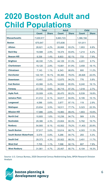#### **2020 Boston Adult and Child Populations**

|                                | <b>Total</b> |              | <b>Adult</b> |              | <b>Child</b> |              |
|--------------------------------|--------------|--------------|--------------|--------------|--------------|--------------|
|                                | <b>Count</b> | <b>Share</b> | <b>Count</b> | <b>Share</b> | <b>Count</b> | <b>Share</b> |
| <b>Massachusetts</b>           | 7,029,917    |              | 5,663,723    |              | 1,366,194    |              |
| <b>Boston</b>                  | 675,647      |              | 573,836      |              | 101,811      |              |
| <b>Allston</b>                 | 28,621       | 4.2%         | 26,668       | 93.2%        | 1,953        | 6.8%         |
| <b>Back Bay</b>                | 19,588       | 2.9%         | 18,374       | 93.8%        | 1,214        | 6.2%         |
| <b>Beacon Hill</b>             | 9,336        | 1.4%         | 8,603        | 92.1%        | 733          | 7.9%         |
| <b>Brighton</b>                | 48,330       | 7.2%         | 44,129       | 91.3%        | 4,201        | 8.7%         |
| <b>Charlestown</b>             | 19,120       | 2.8%         | 15,661       | 81.9%        | 3,459        | 18.1%        |
| Chinatown                      | 7,143        | 1.1%         | 6,343        | 88.8%        | 800          | 11.2%        |
| <b>Dorchester</b>              | 122,191      | 18.1%        | 95,365       | 78.0%        | 26,826       | 22.0%        |
| <b>Downtown</b>                | 13,451       | 2.0%         | 12,675       | 94.2%        | 776          | 5.8%         |
| <b>East Boston</b>             | 43,066       | 6.4%         | 34,826       | 80.9%        | 8,240        | 19.1%        |
| <b>Fenway</b>                  | 37,733       | 5.6%         | 36,715       | 97.3%        | 1,018        | 2.7%         |
| <b>Hyde Park</b>               | 33,009       | 4.9%         | 26,470       | 80.2%        | 6,539        | 19.8%        |
| Jamaica Plain                  | 41,012       | 6.1%         | 34,817       | 84.9%        | 6,195        | 15.1%        |
| Longwood                       | 4,096        | 0.6%         | 3,977        | 97.1%        | 119          | 2.9%         |
| <b>Mattapan</b>                | 23,834       | 3.5%         | 18,511       | 77.7%        | 5,323        | 22.3%        |
| <b>Mission Hill</b>            | 17,886       | 2.6%         | 15,983       | 89.4%        | 1,903        | 10.6%        |
| <b>North End</b>               | 10,805       | 1.6%         | 10,236       | 94.7%        | 569          | 5.3%         |
| <b>Roslindale</b>              | 29,386       | 4.3%         | 23,604       | 80.3%        | 5,782        | 19.7%        |
| <b>Roxbury</b>                 | 54,905       | 8.1%         | 43,502       | 79.2%        | 11,403       | 20.8%        |
| <b>South Boston</b>            | 37,917       | 5.6%         | 33,614       | 88.7%        | 4,303        | 11.3%        |
| <b>South Boston Waterfront</b> | 5,579        | 0.8%         | 5,286        | 94.7%        | 293          | 5.3%         |
| <b>South End</b>               | 29,373       | 4.3%         | 25,922       | 88.3%        | 3,451        | 11.7%        |
| <b>West End</b>                | 7,705        | 1.1%         | 7,098        | 92.1%        | 607          | 7.9%         |
| <b>West Roxbury</b>            | 31,561       | 4.7%         | 25,457       | 80.7%        | 6,104        | 19.3%        |

Source: U.S. Census Bureau, 2020 Decennial Census Redistricting Data, BPDA Research Division Analysis

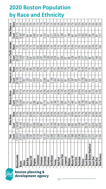#### **2020 Boston Population by Race and Ethnicity**

|                         | Total     | <b>White Alone</b> |              | <b>Black or African</b> |              | Hispanic or Latino |              | Asian or Pacific Islander |       | Other Races or |              |
|-------------------------|-----------|--------------------|--------------|-------------------------|--------------|--------------------|--------------|---------------------------|-------|----------------|--------------|
|                         | Count     | Count              | <b>Share</b> | Count                   | <b>Share</b> | Count              | <b>Share</b> | Count                     | Share | Count          | <b>Share</b> |
| Massachusetts           | 7.029,917 | 4.748.897          | 67.6%        | 457,055                 | 6.5%         | 887.685            | 12.6%        | 506,507                   | 7.2%  | 429,773        | 6.1%         |
| Boston                  | 675,647   | 301,464            | 44.6%        | 129,264                 | 19.1%        | 126,113            | 18.7%        | 75,839                    | 11.2% | 42,967         | 6.4%         |
| <b>Aliston</b>          | 28,621    | 14,634             | 51.1%        | 1,451                   | $5.1\%$      | 3.657              | 12.8%        | 7.173                     | 25.1% | 1,706          | 6.0%         |
| Back Bay                | 19,588    | 14,056             | 71.8%        | 718                     | 3.7%         | 1.326              | 6.8%         | 2.604                     | 13.3% | 884            | 4.5%         |
| Beacon Hill             | 9,336     | 7.521              | 80.6%        | 252                     | 2.7%         | 537                | 5.8%         | 630                       | 6.7%  | 396            | 4.2%         |
| Brighton                | 48,330    | 30,596             | 63.3%        | 2,289                   | 4.7%         | 4,978              | 10.3%        | 7,801                     | 16.1% | 2,666          | 5.5%         |
| Charlestown             | 19,120    | 13,626             | 71.3%        | 990                     | 5.2%         | 2,075              | 10.9%        | 1,650                     | 8.6%  | 779            | 4.1%         |
| Chinatown               | 7,143     | 1.898              | 26.6%        | 297                     | 4.2%         | 477                | 6.7%         | 4,281                     | 59.9% | $\frac{60}{2}$ | 27%          |
| Dorchester              | 122.191   | 27,411             | 22.4%        | 42,714                  | 35.0%        | 25.285             | 20.7%        | 13,360                    | 10.9% | 13.421         | 11.0%        |
| Downtown                | 13,451    | 9,174              | 68.2%        | 537                     | 4.0%         | ક્ર                | 7.1%         | 2,286                     | 17.0% | 493            | 3.7%         |
| East Boston             | 43,066    | 15,760             | 36.6%        | 1,403                   | 3.3%         | 21,700             | 50.4%        | 1,932                     | 4.5%  | 2,271          | 5.3%         |
| Fenway                  | 37,733    | 20,456             | 54.2%        | 2,396                   | 6.3%         | 3,643              | 9.7%         | 9.218                     | 24.4% | 2,020          | 5.4%         |
| Hyde Park               | 33,009    | 7,449              | 22.6%        | 15,171                  | 46.0%        | 7.901              | 23.9%        | 677                       | 2.1%  | 1.811          | 5.5%         |
| Jamaica Plain           | 41,012    | 22,032             | 53.7%        | 4,686                   | 11.4%        | 8,921              | 21.8%        | 2,985                     | 7.3%  | 2,388          | 5.8%         |
| <b>poomBuo-1</b>        | 4,096     | 2,573              | 62.8%        | 334                     | 8.2%         | क्ले               | 9.3%         | 59                        | 16.0% | ড়             | 3.7%         |
| Mattapan                | 23,834    | 1,489              | 6.2%         | 16,277                  | 68.3%        | 4,079              | 17.1%        | 490                       | 21%   | 1,499          | 6.3%         |
| Mission Hill            | 17.886    | 6.950              | 38.9%        | 2,469                   | 13.8%        | 3.397              | 19.0%        | 4.228                     | 23.6% | 842            | 4.7%         |
| North End               | 10,805    | 9,306              | 86.1%        | 141                     | 1.3%         | 528                | 4.9%         | 445                       | 4.1%  | 385            | 3.6%         |
| Roslindale              | 29,386    | 13,428             | 45.7%        | 6,045                   | 20.6%        | 7,373              | 25.1%        | 1,018                     | 3.5%  | 1,522          | 5.2%         |
| Roxbury                 | 54,905    | 7,182              | 13.1%        | 22,796                  | 41.5%        | 16,728             | 30.5%        | 3.277                     | 6.0%  | 4,922          | 0%           |
| South Boston            | 37.917    | 29,139             | 76.8%        | 1,529                   | 4.0%         | 3.887              | 10.3%        | 2,077                     | 5.5%  | 1,285          | 3.4%         |
| South Boston Waterfront | 5,579     | 4,315              | 77.3%        | 160                     | 2.9%         | 316                | 5.7%         | 482                       | 8.6%  | 306            | 5.5%         |
| South End               | 29,373    | 16,618             | 56.6%        | 2,959                   | 10.1%        | 3,783              | 12.9%        | 4,677                     | 15.9% | 1,336          | 4.5%         |
| West End                | 7,705     | 4,933              | 64.0%        | 338                     | 4.4%         | 613                | 8.0%         | 1,440                     | 18.7% | क्ले           | 4.9%         |
| West Roxbury            | 31,561    | 20,918             | 66.3%        | 3,312                   | 10.5%        | 3,567              | 11.3%        | 2,451                     | 7.8%  | 1,313          | 4.2%         |



#### boston planning &<br>development agency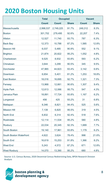#### **2020 Boston Housing Units**

|                                | <b>Total</b> | <b>Occupied</b> |              |              | <b>Vacant</b> |
|--------------------------------|--------------|-----------------|--------------|--------------|---------------|
|                                | <b>Count</b> | <b>Count</b>    | <b>Share</b> | <b>Count</b> | <b>Share</b>  |
| <b>Massachusetts</b>           | 2,998,537    | 2,749,225       | 91.7%        | 249,312      | 8.3%          |
| <b>Boston</b>                  | 301,702      | 279,495         | 92.6%        | 22,207       | 7.4%          |
| <b>Allston</b>                 | 12,527       | 11,740          | 93.7%        | 787          | 6.3%          |
| <b>Back Bay</b>                | 12,373       | 10,788          | 87.2%        | 1,585        | 12.8%         |
| <b>Beacon Hill</b>             | 6,037        | 5,485           | 90.9%        | 552          | 9.1%          |
| <b>Brighton</b>                | 21,874       | 20,822          | 95.2%        | 1,052        | 4.8%          |
| Charlestown                    | 9,525        | 8,932           | 93.8%        | 593          | 6.2%          |
| Chinatown                      | 3,644        | 3,299           | 90.5%        | 345          | 9.5%          |
| <b>Dorchester</b>              | 47,965       | 44,823          | 93.4%        | 3,142        | 6.6%          |
| <b>Downtown</b>                | 6,654        | 5,401           | 81.2%        | 1,253        | 18.8%         |
| <b>East Boston</b>             | 18,016       | 16,695          | 92.7%        | 1,321        | 7.3%          |
| Fenway                         | 13,968       | 12,661          | 90.6%        | 1,307        | 9.4%          |
| <b>Hyde Park</b>               | 12,613       | 12,066          | 95.7%        | 547          | 4.3%          |
| Jamaica Plain                  | 18,891       | 17,724          | 93.8%        | 1,167        | 6.2%          |
| Longwood                       | 456          | 425             | 93.2%        | 31           | 6.8%          |
| Mattapan                       | 9,346        | 8,821           | 94.4%        | 525          | 5.6%          |
| <b>Mission Hill</b>            | 7,139        | 6,820           | 95.5%        | 319          | 4.5%          |
| <b>North End</b>               | 6,832        | 6,314           | 92.4%        | 518          | 7.6%          |
| <b>Roslindale</b>              | 12,114       | 11,534          | 95.2%        | 580          | 4.8%          |
| Roxbury                        | 22,034       | 20,345          | 92.3%        | 1,689        | 7.7%          |
| <b>South Boston</b>            | 19,140       | 17,961          | 93.8%        | 1,179        | 6.2%          |
| <b>South Boston Waterfront</b> | 4,622        | 3,624           | 78.4%        | 998          | 21.6%         |
| South End                      | 16,619       | 15,253          | 91.8%        | 1,366        | 8.2%          |
| <b>West End</b>                | 5,243        | 4,572           | 87.2%        | 671          | 12.8%         |
| <b>West Roxbury</b>            | 14,070       | 13,390          | 95.2%        | 680          | 4.8%          |

Source: U.S. Census Bureau, 2020 Decennial Census Redistricting Data, BPDA Research Division Analysis

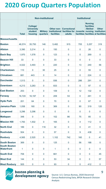#### **2020 Group Quarters Population**

|                                          |              |                                                                   | <b>Non-institutional</b>    |                   |                                                                                                       | <b>Institutional</b> |                                                 |                                                     |
|------------------------------------------|--------------|-------------------------------------------------------------------|-----------------------------|-------------------|-------------------------------------------------------------------------------------------------------|----------------------|-------------------------------------------------|-----------------------------------------------------|
|                                          | <b>Total</b> | <b>College/</b><br><b>University</b><br><b>student</b><br>housing | <b>Military</b><br>quarters | <b>facilities</b> | <b>Other non- Correctional</b><br>institutional facilities for Juvenile nursing institution<br>adults |                      | <b>Nursing</b><br><b>facilities</b><br>/Skilled | <b>Other</b><br>facilities facilities al facilities |
| <b>Massachusetts</b>                     |              |                                                                   |                             |                   |                                                                                                       |                      |                                                 |                                                     |
| <b>Boston</b>                            | 46,574       | 35,750                                                            | 146                         | 5,482             | 915                                                                                                   | 705                  | 3,257                                           | 319                                                 |
| <b>Allston</b>                           | 3,390        | 3,214                                                             | $\pmb{0}$                   | 150               | $\mathbf 0$                                                                                           | $\mathbf 0$          | 26                                              | $\pmb{0}$                                           |
| <b>Back Bay</b>                          | 1,970        | 1,578                                                             | $\pmb{0}$                   | 123               | $\mathbf 0$                                                                                           | $\mathbf 0$          | 269                                             | $\pmb{0}$                                           |
| <b>Beacon Hill</b>                       | 33           | $\mathbf 0$                                                       | $\mathbf 0$                 | 33                | $\mathbf 0$                                                                                           | $\mathbf 0$          | $\mathbf 0$                                     | $\mathbf 0$                                         |
| <b>Brighton</b>                          | 4,022        | 3,493                                                             | $\mathbf 0$                 | 220               | $\mathbf 0$                                                                                           | 13                   | 240                                             | 56                                                  |
| <b>Charlestown</b>                       | 110          | $\mathbf 0$                                                       | 30                          | 25                | $\mathbf 0$                                                                                           | $\mathbf 0$          | 55                                              | $\mathbf 0$                                         |
| <b>Chinatown</b>                         | 681          | 443                                                               | $\mathbf 0$                 | 14                | $\mathbf 0$                                                                                           | $\mathbf 0$          | 224                                             | $\pmb{0}$                                           |
| <b>Dorchester</b>                        | 1,513        | $\mathbf 0$                                                       | $\pmb{0}$                   | 936               | $\mathbf 0$                                                                                           | 286                  | 291                                             | $\pmb{0}$                                           |
| <b>Downtown</b>                          | 4,213        | 3,283                                                             | $\pmb{0}$                   | 833               | $\mathbf 0$                                                                                           | $\mathbf 0$          | 97                                              | $\pmb{0}$                                           |
| <b>East Boston</b>                       | 253          | $\mathbf 0$                                                       | $\pmb{0}$                   | 109               | $\mathbf 0$                                                                                           | 12                   | 132                                             | $\pmb{0}$                                           |
| <b>Fenway</b>                            | 16,720       | 16,197                                                            | $\pmb{0}$                   | 209               | 53                                                                                                    | $\mathbf 0$          | 261                                             | $\mathbf 0$                                         |
| <b>Hyde Park</b>                         | 201          | 64                                                                | $\mathbf 0$                 | 70                | $\mathbf 0$                                                                                           | $\mathbf 0$          | 67                                              | $\pmb{0}$                                           |
| <b>Jamaica Plain</b>                     | 1,058        | 160                                                               | $\overline{0}$              | 369               | $\mathbf 0$                                                                                           | 90                   | 319                                             | 120                                                 |
| Longwood                                 | 3,296        | 3,296                                                             | $\mathbf 0$                 | $\mathbf 0$       | $\mathbf 0$                                                                                           | $\mathbf 0$          | $\pmb{0}$                                       | $\pmb{0}$                                           |
| <b>Mattapan</b>                          | 348          | $\mathbf 0$                                                       | $\pmb{0}$                   | 102               | 86                                                                                                    | 75                   | 85                                              | $\mathbf 0$                                         |
| <b>Mission Hill</b>                      | 1,783        | 1,502                                                             | $\pmb{0}$                   | 165               | $\boldsymbol{0}$                                                                                      | 4                    | 112                                             | $\pmb{0}$                                           |
| <b>North End</b>                         | 189          | $\pmb{0}$                                                         | 116                         | 32                | $\mathbf 0$                                                                                           | $\mathbf 0$          | 41                                              | $\pmb{0}$                                           |
| <b>Roslindale</b>                        | 504          | $\pmb{0}$                                                         | $\pmb{0}$                   | 57                | $\boldsymbol{0}$                                                                                      | $9\,$                | 438                                             | $\mathbf 0$                                         |
| <b>Roxbury</b>                           | 4,565        | 2,520                                                             | $\pmb{0}$                   | 1,102             | 742                                                                                                   | 160                  | $\pmb{0}$                                       | 41                                                  |
| <b>South Boston</b>                      | 369          | $\mathbf 0$                                                       | $\mathbf 0$                 | 125               | $\boldsymbol{0}$                                                                                      | 56                   | 188                                             | $\mathbf 0$                                         |
| <b>South Boston</b><br><b>Waterfront</b> | 1            | $\mathbf 0$                                                       | $\pmb{0}$                   | 1                 | $\boldsymbol{0}$                                                                                      | $\pmb{0}$            | $\pmb{0}$                                       | $\pmb{0}$                                           |
| <b>South End</b>                         | 706          | $\pmb{0}$                                                         | $\pmb{0}$                   | 661               | $\mathbf 0$                                                                                           | $\mathbf 0$          | $\pmb{0}$                                       | 45                                                  |
| <b>West End</b>                          | 144          | $\boldsymbol{0}$                                                  | $\mathbf 0$                 | 53                | 34                                                                                                    | $\mathbf 0$          | $\pmb{0}$                                       | 57                                                  |
| <b>West Roxbury</b>                      | 505          | $\boldsymbol{0}$                                                  | $\pmb{0}$                   | 93                | $\pmb{0}$                                                                                             | $\boldsymbol{0}$     | 412                                             | $\boldsymbol{0}$                                    |
|                                          |              |                                                                   |                             |                   |                                                                                                       |                      |                                                 |                                                     |



boston planning &<br>development agency

Source: U.S. Census Bureau, 2020 Decennial Census Redistricting Data, BPDA Research Division Analysis

9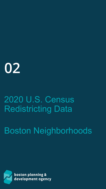# **02**

## 2020 U.S. Census Redistricting Data

Boston Neighborhoods

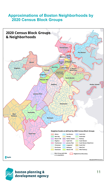#### **Approximations of Boston Neighborhoods by 2020 Census Block Groups**



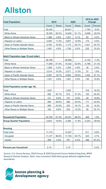### **Allston**

| <b>Total Population</b>                    |        | 2010         | 2020   |              |          | 2010 to 2020<br><b>Change</b> |
|--------------------------------------------|--------|--------------|--------|--------------|----------|-------------------------------|
|                                            | Count  | <b>Share</b> | Count  | <b>Share</b> | Count    | Percent                       |
| Total                                      | 30,405 |              | 28,621 |              | $-1,784$ | $-5.9%$                       |
| <b>White Alone</b>                         | 18,300 | 60.2%        | 14,634 | 51.1%        | $-3,666$ | $-20.0%$                      |
| <b>Black or African American Alone</b>     | 1,389  | 4.6%         | 1,451  | 5.1%         | 62       | 4.5%                          |
| Hispanic or Latino                         | 3,483  | 11.5%        | 3,657  | 12.8%        | 174      | 5.0%                          |
| Asian or Pacific Islander Alone            | 5,752  | 18.9%        | 7,173  | 25.1%        | 1,421    | 24.7%                         |
| <b>Other Races or Multiple Races</b>       | 1,481  | 4.9%         | 1,706  | 6.0%         | 225      | 15.2%                         |
| <b>Adult Population (age 18 and older)</b> |        |              |        |              |          |                               |
| Total                                      | 28,768 |              | 26,668 |              | $-2,100$ | $-7.3%$                       |
| <b>White Alone</b>                         | 17,808 | 61.9%        | 14,022 | 52.6%        | $-3,786$ | $-21.3%$                      |
| <b>Black or African American Alone</b>     | 1,258  | 4.4%         | 1,294  | 4.9%         | 36       | 2.9%                          |
| Hispanic or Latino                         | 3,014  | 10.5%        | 3,071  | 11.5%        | 57       | 1.9%                          |
| Asian or Pacific Islander Alone            | 5,367  | 18.7%        | 6,820  | 25.6%        | 1,453    | 27.1%                         |
| <b>Other Races or Multiple Races</b>       | 1,321  | 4.6%         | 1,461  | 5.5%         | 140      | 10.6%                         |
| <b>Child Population (under age 18)</b>     |        |              |        |              |          |                               |
| Total                                      | 1,637  |              | 1,953  |              | 316      | 19.3%                         |
| <b>White Alone</b>                         | 492    | 30.1%        | 612    | 31.3%        | 120      | 24.4%                         |
| <b>Black or African American Alone</b>     | 131    | 8.0%         | 157    | 8.0%         | 26       | 19.8%                         |
| <b>Hispanic or Latino</b>                  | 469    | 28.6%        | 586    | 30.0%        | 117      | 24.9%                         |
| Asian or Pacific Islander Alone            | 385    | 23.5%        | 353    | 18.1%        | $-32$    | $-8.3%$                       |
| <b>Other Races or Multiple Races</b>       | 160    | 9.8%         | 245    | 12.5%        | 85       | 53.1%                         |
| <b>Household Population</b>                | 24,762 | 81.4%        | 25,231 | 88.2%        | 469      | 1.9%                          |
| <b>Group Quarter Population</b>            | 5,643  | 18.6%        | 3,390  | 11.8%        | $-2,253$ | $-39.9%$                      |
| <b>Housing</b>                             |        |              |        |              |          |                               |
| <b>Total Units</b>                         | 11,716 |              | 12,527 |              | 811      | 6.9%                          |
| Occupied                                   | 11,317 | 96.6%        | 11,740 | 93.7%        | 423      | 3.7%                          |
| Vacant                                     | 399    | 3.4%         | 787    | 6.3%         | 388      | 97.2%                         |
| <b>Persons per Household</b>               | 2.19   |              | 2.15   |              |          | 0.0%                          |

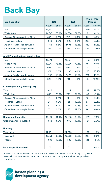#### **Back Bay**

| <b>Total Population</b>                    |        | 2010         | 2020   |              |                | 2010 to 2020<br><b>Change</b> |
|--------------------------------------------|--------|--------------|--------|--------------|----------------|-------------------------------|
|                                            | Count  | <b>Share</b> | Count  | <b>Share</b> | Count          | Percent                       |
| Total                                      | 17,933 |              | 19,588 |              | 1,655          | 9.2%                          |
| <b>White Alone</b>                         | 14,047 | 78.3%        | 14,056 | 71.8%        | 9              | 0.1%                          |
| <b>Black or African American Alone</b>     | 693    | 3.9%         | 718    | 3.7%         | 25             | 3.6%                          |
| Hispanic or Latino                         | 1,043  | 5.8%         | 1,326  | 6.8%         | 283            | 27.1%                         |
| Asian or Pacific Islander Alone            | 1,765  | 9.8%         | 2,604  | 13.3%        | 839            | 47.5%                         |
| <b>Other Races or Multiple Races</b>       | 385    | 2.1%         | 884    | 4.5%         | 499            | 129.6%                        |
| <b>Adult Population (age 18 and older)</b> |        |              |        |              |                |                               |
| Total                                      | 16,918 |              | 18,374 |              | 1,456          | 8.6%                          |
| <b>White Alone</b>                         | 13,247 | 78.3%        | 13,296 | 72.4%        | 49             | 0.4%                          |
| <b>Black or African American Alone</b>     | 662    | 3.9%         | 669    | 3.6%         | $\overline{7}$ | 1.1%                          |
| Hispanic or Latino                         | 979    | 5.8%         | 1,205  | 6.6%         | 226            | 23.1%                         |
| Asian or Pacific Islander Alone            | 1,702  | 10.1%        | 2,473  | 13.5%        | 771            | 45.3%                         |
| <b>Other Races or Multiple Races</b>       | 328    | 1.9%         | 731    | 4.0%         | 403            | 122.9%                        |
| <b>Child Population (under age 18)</b>     |        |              |        |              |                |                               |
| Total                                      | 1,015  |              | 1,214  |              | 199            | 19.6%                         |
| <b>White Alone</b>                         | 800    | 78.8%        | 760    | 62.6%        | $-40$          | $-5.0%$                       |
| <b>Black or African American Alone</b>     | 31     | 3.1%         | 49     | 4.0%         | 18             | 58.1%                         |
| Hispanic or Latino                         | 64     | 6.3%         | 121    | 10.0%        | 57             | 89.1%                         |
| Asian or Pacific Islander Alone            | 63     | 6.2%         | 131    | 10.8%        | 68             | 107.9%                        |
| <b>Other Races or Multiple Races</b>       | 57     | 5.6%         | 153    | 12.6%        | 96             | 168.4%                        |
| <b>Household Population</b>                | 16,390 | 91.4%        | 17,618 | 89.9%        | 1,228          | 7.5%                          |
| <b>Group Quarter Population</b>            | 1,543  | 8.6%         | 1,970  | 10.1%        | 427            | 27.7%                         |
| <b>Housing</b>                             |        |              |        |              |                |                               |
| <b>Total Units</b>                         | 12,181 |              | 12,373 |              | 192            | 1.6%                          |
| Occupied                                   | 10,572 | 86.8%        | 10,788 | 87.2%        | 216            | 2.0%                          |
| Vacant                                     | 1,609  | 13.2%        | 1,585  | 12.8%        | $-24$          | $-1.5%$                       |
| <b>Persons per Household</b>               | 1.55   |              | 1.63   |              |                | 0.0%                          |

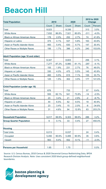#### **Beacon Hill**

| <b>Total Population</b>                    |                 | 2010         |       | 2020         |        | 2010 to 2020<br><b>Change</b> |
|--------------------------------------------|-----------------|--------------|-------|--------------|--------|-------------------------------|
|                                            | Count           | <b>Share</b> | Count | <b>Share</b> | Count  | Percent                       |
| Total                                      | 9,023           |              | 9,336 |              | 313    | 3.5%                          |
| <b>White Alone</b>                         | 7,832           | 86.8%        | 7,521 | 80.6%        | $-311$ | $-4.0%$                       |
| <b>Black or African American Alone</b>     | 178             | 2.0%         | 252   | 2.7%         | 74     | 41.6%                         |
| Hispanic or Latino                         | 374             | 4.1%         | 537   | 5.8%         | 163    | 43.6%                         |
| Asian or Pacific Islander Alone            | 483             | 5.4%         | 630   | 6.7%         | 147    | 30.4%                         |
| <b>Other Races or Multiple Races</b>       | 156             | 1.7%         | 396   | 4.2%         | 240    | 153.8%                        |
| <b>Adult Population (age 18 and older)</b> |                 |              |       |              |        |                               |
| Total                                      | 8,347           |              | 8,603 |              | 256    | 3.1%                          |
| <b>White Alone</b>                         | 7,277           | 87.2%        | 6,980 | 81.1%        | $-297$ | $-4.1%$                       |
| <b>Black or African American Alone</b>     | 155             | 1.9%         | 231   | 2.7%         | 76     | 49.0%                         |
| Hispanic or Latino                         | 330             | 4.0%         | 475   | 5.5%         | 145    | 43.9%                         |
| Asian or Pacific Islander Alone            | 460             | 5.5%         | 615   | 7.1%         | 155    | 33.7%                         |
| <b>Other Races or Multiple Races</b>       | 125             | 1.5%         | 302   | 3.5%         | 177    | 141.6%                        |
| <b>Child Population (under age 18)</b>     |                 |              |       |              |        |                               |
| Total                                      | 676             |              | 733   |              | 57     | 8.4%                          |
| <b>White Alone</b>                         | 555             | 82.1%        | 541   | 73.8%        | $-14$  | $-2.5%$                       |
| <b>Black or African American Alone</b>     | 23              | 3.4%         | 21    | 2.9%         | $-2$   | $-8.7%$                       |
| Hispanic or Latino                         | 44              | 6.5%         | 62    | 8.5%         | 18     | 40.9%                         |
| Asian or Pacific Islander Alone            | 23              | 3.4%         | 15    | 2.0%         | $-8$   | $-34.8%$                      |
| <b>Other Races or Multiple Races</b>       | 31              | 4.6%         | 94    | 12.8%        | 63     | 203.2%                        |
| <b>Household Population</b>                | 9,017           | 99.9%        | 9,303 | 99.6%        | 286    | 3.2%                          |
| <b>Group Quarter Population</b>            | $6\phantom{1}6$ | 0.1%         | 33    | 0.4%         | 27     | 450.0%                        |
| <b>Housing</b>                             |                 |              |       |              |        |                               |
| <b>Total Units</b>                         | 6,013           |              | 6,037 |              | 24     | 0.4%                          |
| Occupied                                   | 5,450           | 90.6%        | 5,485 | 90.9%        | 35     | 0.6%                          |
| Vacant                                     | 563             | 9.4%         | 552   | 9.1%         | $-11$  | $-2.0%$                       |
| <b>Persons per Household</b>               | 1.65            |              | 1.70  |              |        | 0.0%                          |

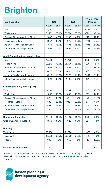## **Brighton**

| <b>Total Population</b>                    |        | 2010         | 2020   |              |        | 2010 to 2020<br><b>Change</b> |
|--------------------------------------------|--------|--------------|--------|--------------|--------|-------------------------------|
|                                            | Count  | <b>Share</b> | Count  | <b>Share</b> | Count  | Percent                       |
| Total                                      | 44,592 |              | 48,330 |              | 3,738  | 8.4%                          |
| <b>White Alone</b>                         | 31,269 | 70.1%        | 30,596 | 63.3%        | $-673$ | $-2.2%$                       |
| <b>Black or African American Alone</b>     | 2,042  | 4.6%         | 2,289  | 4.7%         | 247    | 12.1%                         |
| Hispanic or Latino                         | 3,957  | 8.9%         | 4,978  | 10.3%        | 1,021  | 25.8%                         |
| Asian or Pacific Islander Alone            | 5,816  | 13.0%        | 7,801  | 16.1%        | 1,985  | 34.1%                         |
| <b>Other Races or Multiple Races</b>       | 1,508  | 3.4%         | 2,666  | 5.5%         | 1,158  | 76.8%                         |
| <b>Adult Population (age 18 and older)</b> |        |              |        |              |        |                               |
| Total                                      | 40,799 |              | 44,129 |              | 3,330  | 8.2%                          |
| <b>White Alone</b>                         | 29,612 | 72.6%        | 28,706 | 65.1%        | $-906$ | $-3.1%$                       |
| <b>Black or African American Alone</b>     | 1,666  | 4.1%         | 1,966  | 4.5%         | 300    | 18.0%                         |
| Hispanic or Latino                         | 3,075  | 7.5%         | 4,043  | 9.2%         | 968    | 31.5%                         |
| Asian or Pacific Islander Alone            | 5,218  | 12.8%        | 7,222  | 16.4%        | 2,004  | 38.4%                         |
| <b>Other Races or Multiple Races</b>       | 1,228  | 3.0%         | 2,192  | 5.0%         | 964    | 78.5%                         |
| Child Population (under age 18)            |        |              |        |              |        |                               |
| Total                                      | 3,793  |              | 4,201  |              | 408    | 10.8%                         |
| <b>White Alone</b>                         | 1,657  | 43.7%        | 1,890  | 45.0%        | 233    | 14.1%                         |
| <b>Black or African American Alone</b>     | 376    | 9.9%         | 323    | 7.7%         | $-53$  | $-14.1%$                      |
| Hispanic or Latino                         | 882    | 23.3%        | 935    | 22.3%        | 53     | 6.0%                          |
| Asian or Pacific Islander Alone            | 598    | 15.8%        | 579    | 13.8%        | $-19$  | $-3.2%$                       |
| <b>Other Races or Multiple Races</b>       | 280    | 7.4%         | 474    | 11.3%        | 194    | 69.3%                         |
| <b>Household Population</b>                | 40,642 | 91.1%        | 44,308 | 91.7%        | 3,666  | 9.0%                          |
| <b>Group Quarter Population</b>            | 3,950  | 8.9%         | 4,022  | 8.3%         | 72     | 1.8%                          |
| <b>Housing</b>                             |        |              |        |              |        |                               |
| <b>Total Units</b>                         | 20,196 |              | 21,874 |              | 1,678  | 8.3%                          |
| Occupied                                   | 19,293 | 95.5%        | 20,822 | 95.2%        | 1,529  | 7.9%                          |
| Vacant                                     | 903    | 4.5%         | 1,052  | 4.8%         | 149    | 16.5%                         |
| <b>Persons per Household</b>               | 2.11   |              | 2.13   |              |        | 0.0%                          |

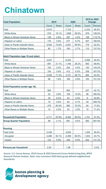#### **Chinatown**

| <b>Total Population</b>                    |       | 2010         |       | 2020         |       | 2010 to 2020<br><b>Change</b> |
|--------------------------------------------|-------|--------------|-------|--------------|-------|-------------------------------|
|                                            | Count | <b>Share</b> | Count | <b>Share</b> | Count | Percent                       |
| Total                                      | 4,810 |              | 7,143 |              | 2,333 | 48.5%                         |
| <b>White Alone</b>                         | 919   | 19.1%        | 1,898 | 26.6%        | 979   | 106.5%                        |
| <b>Black or African American Alone</b>     | 139   | 2.9%         | 297   | 4.2%         | 158   | 113.7%                        |
| Hispanic or Latino                         | 170   | 3.5%         | 477   | 6.7%         | 307   | 180.6%                        |
| Asian or Pacific Islander Alone            | 3,502 | 72.8%        | 4,281 | 59.9%        | 779   | 22.2%                         |
| <b>Other Races or Multiple Races</b>       | 80    | 1.7%         | 190   | 2.7%         | 110   | 137.5%                        |
| <b>Adult Population (age 18 and older)</b> |       |              |       |              |       |                               |
| Total                                      | 4,247 |              | 6,343 |              | 2,096 | 49.4%                         |
| <b>White Alone</b>                         | 897   | 21.1%        | 1,790 | 28.2%        | 893   | 99.6%                         |
| <b>Black or African American Alone</b>     | 104   | 2.4%         | 254   | 4.0%         | 150   | 144.2%                        |
| Hispanic or Latino                         | 154   | 3.6%         | 412   | 6.5%         | 258   | 167.5%                        |
| Asian or Pacific Islander Alone            | 3,026 | 71.3%        | 3,721 | 58.7%        | 695   | 23.0%                         |
| <b>Other Races or Multiple Races</b>       | 66    | 1.6%         | 166   | 2.6%         | 100   | 151.5%                        |
| <b>Child Population (under age 18)</b>     |       |              |       |              |       |                               |
| Total                                      | 563   |              | 800   |              | 237   | 42.1%                         |
| <b>White Alone</b>                         | 22    | 3.9%         | 108   | 13.5%        | 86    | 390.9%                        |
| <b>Black or African American Alone</b>     | 35    | 6.2%         | 43    | 5.4%         | 8     | 22.9%                         |
| Hispanic or Latino                         | 16    | 2.8%         | 65    | 8.1%         | 49    | 306.3%                        |
| Asian or Pacific Islander Alone            | 476   | 84.5%        | 560   | 70.0%        | 84    | 17.6%                         |
| <b>Other Races or Multiple Races</b>       | 14    | 2.5%         | 24    | 3.0%         | 10    | 71.4%                         |
| <b>Household Population</b>                | 4,711 | 97.9%        | 6,462 | 90.5%        | 1,751 | 37.2%                         |
| <b>Group Quarter Population</b>            | 99    | 2.1%         | 681   | 9.5%         | 582   | 587.9%                        |
| <b>Housing</b>                             |       |              |       |              |       |                               |
| <b>Total Units</b>                         | 2,439 |              | 3,644 |              | 1,205 | 49.4%                         |
| Occupied                                   | 2,296 | 94.1%        | 3,299 | 90.5%        | 1,003 | 43.7%                         |
| Vacant                                     | 143   | 5.9%         | 345   | 9.5%         | 202   | 141.3%                        |
| <b>Persons per Household</b>               | 2.05  |              | 1.96  |              |       | 0.0%                          |

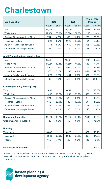#### **Charlestown**

| <b>Total Population</b>                    |        | 2010         | 2020   |              |       | 2010 to 2020<br><b>Change</b> |
|--------------------------------------------|--------|--------------|--------|--------------|-------|-------------------------------|
|                                            | Count  | <b>Share</b> | Count  | <b>Share</b> | Count | Percent                       |
| Total                                      | 16,439 |              | 19,120 |              | 2,681 | 16.3%                         |
| <b>White Alone</b>                         | 12,458 | 75.8%        | 13,626 | 71.3%        | 1,168 | 9.4%                          |
| <b>Black or African American Alone</b>     | 764    | 4.6%         | 990    | 5.2%         | 226   | 29.6%                         |
| Hispanic or Latino                         | 1,591  | 9.7%         | 2,075  | 10.9%        | 484   | 30.4%                         |
| Asian or Pacific Islander Alone            | 1,344  | 8.2%         | 1,650  | 8.6%         | 306   | 22.8%                         |
| <b>Other Races or Multiple Races</b>       | 282    | 1.7%         | 779    | 4.1%         | 497   | 176.2%                        |
| <b>Adult Population (age 18 and older)</b> |        |              |        |              |       |                               |
| Total                                      | 13,754 |              | 15,661 |              | 1,907 | 13.9%                         |
| <b>White Alone</b>                         | 11,056 | 80.4%        | 11,689 | 74.6%        | 633   | 5.7%                          |
| <b>Black or African American Alone</b>     | 490    | 3.6%         | 662    | 4.2%         | 172   | 35.1%                         |
| Hispanic or Latino                         | 973    | 7.1%         | 1,387  | 8.9%         | 414   | 42.5%                         |
| Asian or Pacific Islander Alone            | 1,073  | 7.8%         | 1,404  | 9.0%         | 331   | 30.8%                         |
| <b>Other Races or Multiple Races</b>       | 162    | 1.2%         | 519    | 3.3%         | 357   | 220.4%                        |
| <b>Child Population (under age 18)</b>     |        |              |        |              |       |                               |
| Total                                      | 2,685  |              | 3,459  |              | 774   | 28.8%                         |
| <b>White Alone</b>                         | 1,402  | 52.2%        | 1,937  | 56.0%        | 535   | 38.2%                         |
| <b>Black or African American Alone</b>     | 274    | 10.2%        | 328    | 9.5%         | 54    | 19.7%                         |
| Hispanic or Latino                         | 618    | 23.0%        | 688    | 19.9%        | 70    | 11.3%                         |
| Asian or Pacific Islander Alone            | 271    | 10.1%        | 246    | 7.1%         | $-25$ | $-9.2%$                       |
| <b>Other Races or Multiple Races</b>       | 120    | 4.5%         | 260    | 7.5%         | 140   | 116.7%                        |
| <b>Household Population</b>                | 16,313 | 99.2%        | 19,010 | 99.4%        | 2,697 | 16.5%                         |
| <b>Group Quarter Population</b>            | 126    | 0.8%         | 110    | 0.6%         | $-16$ | $-12.7%$                      |
| <b>Housing</b>                             |        |              |        |              |       |                               |
| <b>Total Units</b>                         | 8,648  |              | 9,525  |              | 877   | 10.1%                         |
| Occupied                                   | 8,033  | 92.9%        | 8,932  | 93.8%        | 899   | 11.2%                         |
| Vacant                                     | 615    | 7.1%         | 593    | 6.2%         | $-22$ | $-3.6%$                       |
| <b>Persons per Household</b>               | 2.03   |              | 2.13   |              |       | 0.0%                          |

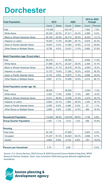#### **Dorchester**

| <b>Total Population</b>                    |         | 2010         | 2020    |              |          | 2010 to 2020<br><b>Change</b> |
|--------------------------------------------|---------|--------------|---------|--------------|----------|-------------------------------|
|                                            | Count   | <b>Share</b> | Count   | <b>Share</b> | Count    | Percent                       |
| Total                                      | 114,249 |              | 122,191 |              | 7,942    | 7.0%                          |
| <b>White Alone</b>                         | 25,322  | 22.2%        | 27,411  | 22.4%        | 2,089    | 8.2%                          |
| <b>Black or African American Alone</b>     | 49,144  | 43.0%        | 42,714  | 35.0%        | $-6,430$ | $-13.1%$                      |
| Hispanic or Latino                         | 19,407  | 17.0%        | 25,285  | 20.7%        | 5,878    | 30.3%                         |
| Asian or Pacific Islander Alone            | 10,637  | 9.3%         | 13,360  | 10.9%        | 2,723    | 25.6%                         |
| <b>Other Races or Multiple Races</b>       | 9,739   | 8.5%         | 13,421  | 11.0%        | 3,682    | 37.8%                         |
| <b>Adult Population (age 18 and older)</b> |         |              |         |              |          |                               |
| Total                                      | 85,419  |              | 95,365  |              | 9,946    | 11.6%                         |
| <b>White Alone</b>                         | 21,969  | 25.7%        | 24,327  | 25.5%        | 2,358    | 10.7%                         |
| <b>Black or African American Alone</b>     | 35,633  | 41.7%        | 32,678  | 34.3%        | $-2,955$ | $-8.3%$                       |
| Hispanic or Latino                         | 12,757  | 14.9%        | 17,390  | 18.2%        | 4,633    | 36.3%                         |
| Asian or Pacific Islander Alone            | 8,179   | 9.6%         | 10,875  | 11.4%        | 2,696    | 33.0%                         |
| <b>Other Races or Multiple Races</b>       | 6,881   | 8.1%         | 10,095  | 10.6%        | 3,214    | 46.7%                         |
| <b>Child Population (under age 18)</b>     |         |              |         |              |          |                               |
| Total                                      | 28,830  |              | 26,826  |              | $-2,004$ | $-7.0%$                       |
| <b>White Alone</b>                         | 3,353   | 11.6%        | 3,084   | 11.5%        | $-269$   | $-8.0%$                       |
| <b>Black or African American Alone</b>     | 13,511  | 46.9%        | 10,036  | 37.4%        | $-3,475$ | $-25.7%$                      |
| Hispanic or Latino                         | 6,650   | 23.1%        | 7,895   | 29.4%        | 1,245    | 18.7%                         |
| Asian or Pacific Islander Alone            | 2,458   | 8.5%         | 2,485   | 9.3%         | 27       | 1.1%                          |
| <b>Other Races or Multiple Races</b>       | 2,858   | 9.9%         | 3,326   | 12.4%        | 468      | 16.4%                         |
| <b>Household Population</b>                | 112,942 | 98.9%        | 120,678 | 98.8%        | 7,736    | 6.8%                          |
| <b>Group Quarter Population</b>            | 1,307   | 1.1%         | 1,513   | 1.2%         | 206      | 15.8%                         |
| <b>Housing</b>                             |         |              |         |              |          |                               |
| <b>Total Units</b>                         | 45,140  |              | 47,965  |              | 2,825    | 6.3%                          |
| Occupied                                   | 41,237  | 91.4%        | 44,823  | 93.4%        | 3,586    | 8.7%                          |
| Vacant                                     | 3,903   | 8.6%         | 3,142   | 6.6%         | $-761$   | $-19.5%$                      |
| <b>Persons per Household</b>               | 2.74    |              | 2.69    |              |          | 0.0%                          |

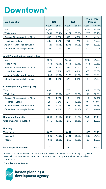#### **Downtown\***

| <b>Total Population</b>                    | 2010   |              | 2020   |              | 2010 to 2020<br><b>Change</b> |          |
|--------------------------------------------|--------|--------------|--------|--------------|-------------------------------|----------|
|                                            | Count  | <b>Share</b> | Count  | <b>Share</b> | Count                         | Percent  |
| Total                                      | 10,145 |              | 13,451 |              | 3,306                         | 32.6%    |
| <b>White Alone</b>                         | 7,451  | 73.4%        | 9,174  | 68.2%        | 1,723                         | 23.1%    |
| <b>Black or African American Alone</b>     | 506    | 5.0%         | 537    | 4.0%         | 31                            | 6.1%     |
| Hispanic or Latino                         | 536    | 5.3%         | 961    | 7.1%         | 425                           | 79.3%    |
| Asian or Pacific Islander Alone            | 1,429  | 14.1%        | 2,286  | 17.0%        | 857                           | 60.0%    |
| <b>Other Races or Multiple Races</b>       | 223    | 2.2%         | 493    | 3.7%         | 270                           | 121.1%   |
| <b>Adult Population (age 18 and older)</b> |        |              |        |              |                               |          |
| Total                                      | 9,676  |              | 12,675 |              | 2,999                         | 31.0%    |
| <b>White Alone</b>                         | 7,153  | 73.9%        | 8,764  | 69.1%        | 1,611                         | 22.5%    |
| <b>Black or African American Alone</b>     | 488    | 5.0%         | 529    | 4.2%         | 41                            | 8.4%     |
| Hispanic or Latino                         | 501    | 5.2%         | 877    | 6.9%         | 376                           | 75.0%    |
| Asian or Pacific Islander Alone            | 1,340  | 13.8%        | 2,128  | 16.8%        | 788                           | 58.8%    |
| <b>Other Races or Multiple Races</b>       | 194    | 2.0%         | 377    | 3.0%         | 183                           | 94.3%    |
| <b>Child Population (under age 18)</b>     |        |              |        |              |                               |          |
| Total                                      | 469    |              | 776    |              | 307                           | 65.5%    |
| <b>White Alone</b>                         | 298    | 63.5%        | 410    | 52.8%        | 112                           | 37.6%    |
| <b>Black or African American Alone</b>     | 18     | 3.8%         | 8      | 1.0%         | $-10$                         | $-55.6%$ |
| <b>Hispanic or Latino</b>                  | 35     | 7.5%         | 84     | 10.8%        | 49                            | 140.0%   |
| Asian or Pacific Islander Alone            | 89     | 19.0%        | 158    | 20.4%        | 69                            | 77.5%    |
| <b>Other Races or Multiple Races</b>       | 29     | 6.2%         | 116    | 14.9%        | 87                            | 300.0%   |
| <b>Household Population</b>                | 6,399  | 63.1%        | 9,238  | 68.7%        | 2,839                         | 44.4%    |
| <b>Group Quarter Population</b>            | 3,746  | 36.9%        | 4,213  | 31.3%        | 467                           | 12.5%    |
| <b>Housing</b>                             |        |              |        |              |                               |          |
| <b>Total Units</b>                         | 5,077  |              | 6,654  |              | 1,577                         | 31.1%    |
| Occupied                                   | 4,009  | 79.0%        | 5,401  | 81.2%        | 1,392                         | 34.7%    |
| Vacant                                     | 1,068  | 21.0%        | 1,253  | 18.8%        | 185                           | 17.3%    |
| <b>Persons per Household</b>               | 1.60   |              | 1.71   |              |                               | 0.0%     |

Source: U.S. Census Bureau, 2010 Census & 2020 Decennial Census Redistricting Data, BPDA Research Division Analysis. Note: Uses consistent 2020 block group-defined neighborhood boundaries.

\*Includes Leather District

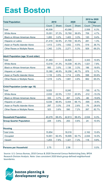#### **East Boston**

| <b>Total Population</b>                    | 2010   |              | 2020   |              | 2010 to 2020<br><b>Change</b> |          |
|--------------------------------------------|--------|--------------|--------|--------------|-------------------------------|----------|
|                                            | Count  | <b>Share</b> | Count  | <b>Share</b> | Count                         | Percent  |
| Total                                      | 40,508 |              | 43,066 |              | 2,558                         | 6.3%     |
| <b>White Alone</b>                         | 15,051 | 37.2%        | 15,760 | 36.6%        | 709                           | 4.7%     |
| <b>Black or African American Alone</b>     | 1,283  | 3.2%         | 1,403  | 3.3%         | 120                           | 9.4%     |
| Hispanic or Latino                         | 21,419 | 52.9%        | 21,700 | 50.4%        | 281                           | 1.3%     |
| Asian or Pacific Islander Alone            | 1,413  | 3.5%         | 1,932  | 4.5%         | 519                           | 36.7%    |
| <b>Other Races or Multiple Races</b>       | 1,342  | 3.3%         | 2,271  | 5.3%         | 929                           | 69.2%    |
| <b>Adult Population (age 18 and older)</b> |        |              |        |              |                               |          |
| Total                                      | 31,483 |              | 34,826 |              | 3,343                         | 10.6%    |
| <b>White Alone</b>                         | 13,018 | 41.3%        | 14,039 | 40.3%        | 1,021                         | 7.8%     |
| <b>Black or African American Alone</b>     | 950    | 3.0%         | 1,136  | 3.3%         | 186                           | 19.6%    |
| Hispanic or Latino                         | 15,380 | 48.9%        | 16,256 | 46.7%        | 876                           | 5.7%     |
| Asian or Pacific Islander Alone            | 1,116  | 3.5%         | 1,714  | 4.9%         | 598                           | 53.6%    |
| <b>Other Races or Multiple Races</b>       | 1,019  | 3.2%         | 1,681  | 4.8%         | 662                           | 65.0%    |
| <b>Child Population (under age 18)</b>     |        |              |        |              |                               |          |
| Total                                      | 9,025  |              | 8,240  |              | $-785$                        | $-8.7%$  |
| <b>White Alone</b>                         | 2,033  | 22.5%        | 1,721  | 20.9%        | $-312$                        | $-15.3%$ |
| <b>Black or African American Alone</b>     | 333    | 3.7%         | 267    | 3.2%         | $-66$                         | $-19.8%$ |
| Hispanic or Latino                         | 6,039  | 66.9%        | 5,444  | 66.1%        | $-595$                        | $-9.9%$  |
| Asian or Pacific Islander Alone            | 297    | 3.3%         | 218    | 2.6%         | $-79$                         | $-26.6%$ |
| <b>Other Races or Multiple Races</b>       | 323    | 3.6%         | 590    | 7.2%         | 267                           | 82.7%    |
| <b>Household Population</b>                | 40,279 | 99.4%        | 42,813 | 99.4%        | 2,534                         | 6.3%     |
| <b>Group Quarter Population</b>            | 229    | 0.6%         | 253    | 0.6%         | 24                            | 10.5%    |
| <b>Housing</b>                             |        |              |        |              |                               |          |
| <b>Total Units</b>                         | 15,854 |              | 18,016 |              | 2,162                         | 13.6%    |
| Occupied                                   | 14,651 | 92.4%        | 16,695 | 92.7%        | 2,044                         | 14.0%    |
| Vacant                                     | 1,203  | 7.6%         | 1,321  | 7.3%         | 118                           | 9.8%     |
| <b>Persons per Household</b>               | 2.75   |              | 2.56   |              |                               | 0.0%     |

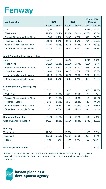#### **Fenway**

| <b>Total Population</b>                    | 2010   |              | 2020   |              | 2010 to 2020<br><b>Change</b> |          |
|--------------------------------------------|--------|--------------|--------|--------------|-------------------------------|----------|
|                                            | Count  | <b>Share</b> | Count  | <b>Share</b> | Count                         | Percent  |
| Total                                      | 34,394 |              | 37,733 |              | 3,339                         | 9.7%     |
| <b>White Alone</b>                         | 22,158 | 64.4%        | 20,456 | 54.2%        | $-1,702$                      | $-7.7%$  |
| <b>Black or African American Alone</b>     | 1,786  | 5.2%         | 2,396  | 6.3%         | 610                           | 34.2%    |
| Hispanic or Latino                         | 2,909  | 8.5%         | 3,643  | 9.7%         | 734                           | 25.2%    |
| Asian or Pacific Islander Alone            | 6,407  | 18.6%        | 9,218  | 24.4%        | 2,811                         | 43.9%    |
| <b>Other Races or Multiple Races</b>       | 1,134  | 3.3%         | 2,020  | 5.4%         | 886                           | 78.1%    |
| <b>Adult Population (age 18 and older)</b> |        |              |        |              |                               |          |
| Total                                      | 33,681 |              | 36,715 |              | 3,034                         | 9.0%     |
| <b>White Alone</b>                         | 21,990 | 65.3%        | 20,099 | 54.7%        | $-1,891$                      | $-8.6%$  |
| <b>Black or African American Alone</b>     | 1,623  | 4.8%         | 2,281  | 6.2%         | 658                           | 40.5%    |
| Hispanic or Latino                         | 2,666  | 7.9%         | 3,425  | 9.3%         | 759                           | 28.5%    |
| Asian or Pacific Islander Alone            | 6,313  | 18.7%        | 9,021  | 24.6%        | 2,708                         | 42.9%    |
| <b>Other Races or Multiple Races</b>       | 1,089  | 3.2%         | 1,889  | 5.1%         | 800                           | 73.5%    |
| <b>Child Population (under age 18)</b>     |        |              |        |              |                               |          |
| Total                                      | 713    |              | 1,018  |              | 305                           | 42.8%    |
| <b>White Alone</b>                         | 168    | 23.6%        | 357    | 35.1%        | 189                           | 112.5%   |
| <b>Black or African American Alone</b>     | 163    | 22.9%        | 115    | 11.3%        | $-48$                         | $-29.4%$ |
| Hispanic or Latino                         | 243    | 34.1%        | 218    | 21.4%        | $-25$                         | $-10.3%$ |
| Asian or Pacific Islander Alone            | 94     | 13.2%        | 197    | 19.4%        | 103                           | 109.6%   |
| <b>Other Races or Multiple Races</b>       | 45     | 6.3%         | 131    | 12.9%        | 86                            | 191.1%   |
| <b>Household Population</b>                | 20,010 | 58.2%        | 21,013 | 55.7%        | 1,003                         | 5.0%     |
| <b>Group Quarter Population</b>            | 14,384 | 41.8%        | 16,720 | 44.3%        | 2,336                         | 16.2%    |
| <b>Housing</b>                             |        |              |        |              |                               |          |
| <b>Total Units</b>                         | 12,943 |              | 13,968 |              | 1,025                         | 7.9%     |
| Occupied                                   | 12,362 | 95.5%        | 12,661 | 90.6%        | 299                           | 2.4%     |
| Vacant                                     | 581    | 4.5%         | 1,307  | 9.4%         | 726                           | 125.0%   |
| <b>Persons per Household</b>               | 1.62   |              | 1.66   |              |                               | 0.0%     |

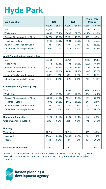### **Hyde Park**

| <b>Total Population</b>                    | 2010   |              | 2020   |              | 2010 to 2020<br><b>Change</b> |          |
|--------------------------------------------|--------|--------------|--------|--------------|-------------------------------|----------|
|                                            | Count  | <b>Share</b> | Count  | <b>Share</b> | Count                         | Percent  |
| Total                                      | 31,145 |              | 33,009 |              | 1,864                         | 6.0%     |
| <b>White Alone</b>                         | 8,853  | 28.4%        | 7,449  | 22.6%        | $-1,404$                      | $-15.9%$ |
| <b>Black or African American Alone</b>     | 14,636 | 47.0%        | 15,171 | 46.0%        | 535                           | 3.7%     |
| Hispanic or Latino                         | 6,161  | 19.8%        | 7,901  | 23.9%        | 1,740                         | 28.2%    |
| Asian or Pacific Islander Alone            | 495    | 1.6%         | 677    | 2.1%         | 182                           | 36.8%    |
| <b>Other Races or Multiple Races</b>       | 1,000  | 3.2%         | 1,811  | 5.5%         | 811                           | 81.1%    |
| <b>Adult Population (age 18 and older)</b> |        |              |        |              |                               |          |
| Total                                      | 23,828 |              | 26,470 |              | 2,642                         | 11.1%    |
| <b>White Alone</b>                         | 7,714  | 32.4%        | 6,494  | 24.5%        | $-1,220$                      | $-15.8%$ |
| <b>Black or African American Alone</b>     | 10,937 | 45.9%        | 12,229 | 46.2%        | 1,292                         | 11.8%    |
| Hispanic or Latino                         | 4,169  | 17.5%        | 5,859  | 22.1%        | 1,690                         | 40.5%    |
| Asian or Pacific Islander Alone            | 389    | 1.6%         | 562    | 2.1%         | 173                           | 44.5%    |
| <b>Other Races or Multiple Races</b>       | 619    | 2.6%         | 1,326  | 5.0%         | 707                           | 114.2%   |
| <b>Child Population (under age 18)</b>     |        |              |        |              |                               |          |
| Total                                      | 7,317  |              | 6,539  |              | $-778$                        | $-10.6%$ |
| <b>White Alone</b>                         | 1,139  | 15.6%        | 955    | 14.6%        | $-184$                        | $-16.2%$ |
| <b>Black or African American Alone</b>     | 3,699  | 50.6%        | 2,942  | 45.0%        | $-757$                        | $-20.5%$ |
| Hispanic or Latino                         | 1,992  | 27.2%        | 2,042  | 31.2%        | 50                            | 2.5%     |
| Asian or Pacific Islander Alone            | 106    | 1.4%         | 115    | 1.8%         | 9                             | 8.5%     |
| <b>Other Races or Multiple Races</b>       | 381    | 5.2%         | 485    | 7.4%         | 104                           | 27.3%    |
| <b>Household Population</b>                | 30,850 | 99.1%        | 32,808 | 99.4%        | 1,958                         | 6.3%     |
| <b>Group Quarter Population</b>            | 295    | 0.9%         | 201    | 0.6%         | $-94$                         | $-31.9%$ |
| <b>Housing</b>                             |        |              |        |              |                               |          |
| <b>Total Units</b>                         | 12,018 |              | 12,613 |              | 595                           | 5.0%     |
| Occupied                                   | 11,277 | 93.8%        | 12,066 | 95.7%        | 789                           | 7.0%     |
| Vacant                                     | 741    | 6.2%         | 547    | 4.3%         | $-194$                        | $-26.2%$ |
| <b>Persons per Household</b>               | 2.74   |              | 2.72   |              |                               | 0.0%     |

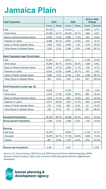#### **Jamaica Plain**

| <b>Total Population</b>                    | 2010   |              | 2020   |              | 2010 to 2020<br><b>Change</b> |          |
|--------------------------------------------|--------|--------------|--------|--------------|-------------------------------|----------|
|                                            | Count  | <b>Share</b> | Count  | <b>Share</b> | Count                         | Percent  |
| Total                                      | 37,379 |              | 41,012 |              | 3,633                         | 9.7%     |
| <b>White Alone</b>                         | 20,068 | 53.7%        | 22,032 | 53.7%        | 1,964                         | 9.8%     |
| <b>Black or African American Alone</b>     | 5,029  | 13.5%        | 4,686  | 11.4%        | $-343$                        | $-6.8%$  |
| Hispanic or Latino                         | 9,396  | 25.1%        | 8,921  | 21.8%        | $-475$                        | $-5.1%$  |
| Asian or Pacific Islander Alone            | 1,666  | 4.5%         | 2,985  | 7.3%         | 1,319                         | 79.2%    |
| <b>Other Races or Multiple Races</b>       | 1,220  | 3.3%         | 2,388  | 5.8%         | 1,168                         | 95.7%    |
| <b>Adult Population (age 18 and older)</b> |        |              |        |              |                               |          |
| Total                                      | 31,081 |              | 34,817 |              | 3,736                         | 12.0%    |
| <b>White Alone</b>                         | 18,058 | 58.1%        | 19,642 | 56.4%        | 1,584                         | 8.8%     |
| <b>Black or African American Alone</b>     | 3,954  | 12.7%        | 3,848  | 11.1%        | $-106$                        | $-2.7%$  |
| Hispanic or Latino                         | 6,819  | 21.9%        | 6,984  | 20.1%        | 165                           | 2.4%     |
| Asian or Pacific Islander Alone            | 1,450  | 4.7%         | 2,736  | 7.9%         | 1,286                         | 88.7%    |
| <b>Other Races or Multiple Races</b>       | 800    | 2.6%         | 1,607  | 4.6%         | 807                           | 100.9%   |
| <b>Child Population (under age 18)</b>     |        |              |        |              |                               |          |
| Total                                      | 6,298  |              | 6,195  |              | $-103$                        | $-1.6%$  |
| <b>White Alone</b>                         | 2,010  | 31.9%        | 2,390  | 38.6%        | 380                           | 18.9%    |
| <b>Black or African American Alone</b>     | 1,075  | 17.1%        | 838    | 13.5%        | $-237$                        | $-22.0%$ |
| Hispanic or Latino                         | 2,577  | 40.9%        | 1,937  | 31.3%        | $-640$                        | $-24.8%$ |
| Asian or Pacific Islander Alone            | 216    | 3.4%         | 249    | 4.0%         | 33                            | 15.3%    |
| <b>Other Races or Multiple Races</b>       | 420    | 6.7%         | 781    | 12.6%        | 361                           | 86.0%    |
| <b>Household Population</b>                | 36,143 | 96.7%        | 39,954 | 97.4%        | 3,811                         | 10.5%    |
| <b>Group Quarter Population</b>            | 1,236  | 3.3%         | 1,058  | 2.6%         | $-178$                        | $-14.4%$ |
| <b>Housing</b>                             |        |              |        |              |                               |          |
| <b>Total Units</b>                         | 16,767 |              | 18,891 |              | 2,124                         | 12.7%    |
| Occupied                                   | 15,876 | 94.7%        | 17,724 | 93.8%        | 1,848                         | 11.6%    |
| Vacant                                     | 891    | 5.3%         | 1,167  | 6.2%         | 276                           | 31.0%    |
| <b>Persons per Household</b>               | 2.28   |              | 2.25   |              |                               | 0.0%     |

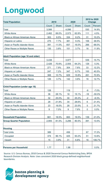#### **Longwood**

| <b>Total Population</b>                    | 2010  |              | 2020  |              | 2010 to 2020<br><b>Change</b> |          |
|--------------------------------------------|-------|--------------|-------|--------------|-------------------------------|----------|
|                                            | Count | <b>Share</b> | Count | <b>Share</b> | Count                         | Percent  |
| Total                                      | 3,566 |              | 4,096 |              | 530                           | 14.9%    |
| <b>White Alone</b>                         | 2,462 | 69.0%        | 2,573 | 62.8%        | 111                           | 4.5%     |
| <b>Black or African American Alone</b>     | 303   | 8.5%         | 334   | 8.2%         | 31                            | 10.2%    |
| Hispanic or Latino                         | 275   | 7.7%         | 381   | 9.3%         | 106                           | 38.5%    |
| Asian or Pacific Islander Alone            | 391   | 11.0%        | 657   | 16.0%        | 266                           | 68.0%    |
| <b>Other Races or Multiple Races</b>       | 135   | 3.8%         | 151   | 3.7%         | 16                            | 11.9%    |
| <b>Adult Population (age 18 and older)</b> |       |              |       |              |                               |          |
| Total                                      | 3,438 |              | 3,977 |              | 539                           | 15.7%    |
| <b>White Alone</b>                         | 2,426 | 70.6%        | 2,555 | 64.2%        | 129                           | 5.3%     |
| <b>Black or African American Alone</b>     | 271   | 7.9%         | 304   | 7.6%         | 33                            | 12.2%    |
| Hispanic or Latino                         | 247   | 7.2%         | 347   | 8.7%         | 100                           | 40.5%    |
| Asian or Pacific Islander Alone            | 368   | 10.7%        | 629   | 15.8%        | 261                           | 70.9%    |
| <b>Other Races or Multiple Races</b>       | 126   | 3.7%         | 142   | 3.6%         | 16                            | 12.7%    |
| <b>Child Population (under age 18)</b>     |       |              |       |              |                               |          |
| Total                                      | 128   |              | 119   |              | $-9$                          | $-7.0%$  |
| <b>White Alone</b>                         | 36    | 28.1%        | 18    | 15.1%        | $-18$                         | $-50.0%$ |
| <b>Black or African American Alone</b>     | 32    | 25.0%        | 30    | 25.2%        | $-2$                          | $-6.3%$  |
| Hispanic or Latino                         | 28    | 21.9%        | 34    | 28.6%        | 6                             | 21.4%    |
| Asian or Pacific Islander Alone            | 23    | 18.0%        | 28    | 23.5%        | $\overline{5}$                | 21.7%    |
| <b>Other Races or Multiple Races</b>       | 9     | 7.0%         | 9     | 7.6%         | 0                             | 0.0%     |
| <b>Household Population</b>                | 661   | 18.5%        | 800   | 19.5%        | 139                           | 21.0%    |
| <b>Group Quarter Population</b>            | 2,905 | 81.5%        | 3,296 | 80.5%        | 391                           | 13.5%    |
| <b>Housing</b>                             |       |              |       |              |                               |          |
| <b>Total Units</b>                         | 389   |              | 456   |              | 67                            | 17.2%    |
| Occupied                                   | 374   | 96.1%        | 425   | 93.2%        | 51                            | 13.6%    |
| Vacant                                     | 15    | 3.9%         | 31    | 6.8%         | 16                            | 106.7%   |
| <b>Persons per Household</b>               | 1.77  |              | 1.88  |              |                               | 0.0%     |

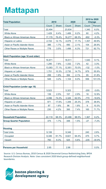#### **Mattapan**

| <b>Total Population</b>                    | 2010   |              | 2020   |              | 2010 to 2020<br><b>Change</b> |          |
|--------------------------------------------|--------|--------------|--------|--------------|-------------------------------|----------|
|                                            | Count  | <b>Share</b> | Count  | <b>Share</b> | Count                         | Percent  |
| Total                                      | 22,494 |              | 23,834 |              | 1,340                         | 6.0%     |
| <b>White Alone</b>                         | 1,429  | 6.4%         | 1,489  | 6.2%         | 60                            | 4.2%     |
| <b>Black or African American Alone</b>     | 17,179 | 76.4%        | 16,277 | 68.3%        | $-902$                        | $-5.3%$  |
| Hispanic or Latino                         | 2,722  | 12.1%        | 4,079  | 17.1%        | 1,357                         | 49.9%    |
| Asian or Pacific Islander Alone            | 386    | 1.7%         | 490    | 2.1%         | 104                           | 26.9%    |
| <b>Other Races or Multiple Races</b>       | 778    | 3.5%         | 1,499  | 6.3%         | 721                           | 92.7%    |
| <b>Adult Population (age 18 and older)</b> |        |              |        |              |                               |          |
| Total                                      | 16,971 |              | 18,511 |              | 1,540                         | 9.1%     |
| <b>White Alone</b>                         | 1,290  | 7.6%         | 1,332  | 7.2%         | 42                            | 3.3%     |
| <b>Black or African American Alone</b>     | 13,083 | 77.1%        | 12,951 | 70.0%        | $-132$                        | $-1.0%$  |
| Hispanic or Latino                         | 1,751  | 10.3%        | 2,730  | 14.7%        | 979                           | 55.9%    |
| Asian or Pacific Islander Alone            | 299    | 1.8%         | 394    | 2.1%         | 95                            | 31.8%    |
| <b>Other Races or Multiple Races</b>       | 548    | 3.2%         | 1,104  | 6.0%         | 556                           | 101.5%   |
| <b>Child Population (under age 18)</b>     |        |              |        |              |                               |          |
| Total                                      | 5,523  |              | 5,323  |              | $-200$                        | $-3.6%$  |
| <b>White Alone</b>                         | 139    | 2.5%         | 157    | 2.9%         | 18                            | 12.9%    |
| <b>Black or African American Alone</b>     | 4,096  | 74.2%        | 3,326  | 62.5%        | $-770$                        | $-18.8%$ |
| Hispanic or Latino                         | 971    | 17.6%        | 1,349  | 25.3%        | 378                           | 38.9%    |
| Asian or Pacific Islander Alone            | 87     | 1.6%         | 96     | 1.8%         | 9                             | 10.3%    |
| <b>Other Races or Multiple Races</b>       | 230    | 4.2%         | 395    | 7.4%         | 165                           | 71.7%    |
| <b>Household Population</b>                | 22,119 | 98.3%        | 23,486 | 98.5%        | 1,367                         | 6.2%     |
| <b>Group Quarter Population</b>            | 375    | 1.7%         | 348    | 1.5%         | $-27$                         | $-7.2%$  |
| <b>Housing</b>                             |        |              |        |              |                               |          |
| <b>Total Units</b>                         | 9,106  |              | 9,346  |              | 240                           | 2.6%     |
| Occupied                                   | 8,346  | 91.7%        | 8,821  | 94.4%        | 475                           | 5.7%     |
| Vacant                                     | 760    | 8.3%         | 525    | 5.6%         | $-235$                        | $-30.9%$ |
| <b>Persons per Household</b>               | 2.65   |              | 2.66   |              |                               | 0.0%     |

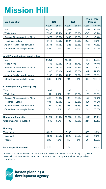### **Mission Hill**

| <b>Total Population</b>                    | 2010   |              | 2020   |              | 2010 to 2020<br><b>Change</b> |          |
|--------------------------------------------|--------|--------------|--------|--------------|-------------------------------|----------|
|                                            | Count  | <b>Share</b> | Count  | <b>Share</b> | Count                         | Percent  |
| Total                                      | 16,034 |              | 17,886 |              | 1,852                         | 11.6%    |
| <b>White Alone</b>                         | 7,597  | 47.4%        | 6,950  | 38.9%        | $-647$                        | $-8.5%$  |
| <b>Black or African American Alone</b>     | 2,478  | 15.5%        | 2,469  | 13.8%        | $-9$                          | $-0.4%$  |
| Hispanic or Latino                         | 3,141  | 19.6%        | 3,397  | 19.0%        | 256                           | 8.2%     |
| Asian or Pacific Islander Alone            | 2,384  | 14.9%        | 4,228  | 23.6%        | 1,844                         | 77.3%    |
| <b>Other Races or Multiple Races</b>       | 434    | 2.7%         | 842    | 4.7%         | 408                           | 94.0%    |
| <b>Adult Population (age 18 and older)</b> |        |              |        |              |                               |          |
| Total                                      | 14,173 |              | 15,983 |              | 1,810                         | 12.8%    |
| <b>White Alone</b>                         | 7,436  | 52.5%        | 6,661  | 41.7%        | $-775$                        | $-10.4%$ |
| <b>Black or African American Alone</b>     | 1,938  | 13.7%        | 1,984  | 12.4%        | 46                            | 2.4%     |
| Hispanic or Latino                         | 2,247  | 15.9%        | 2,639  | 16.5%        | 392                           | 17.4%    |
| Asian or Pacific Islander Alone            | 2,187  | 15.4%        | 3,965  | 24.8%        | 1,778                         | 81.3%    |
| <b>Other Races or Multiple Races</b>       | 365    | 2.6%         | 734    | 4.6%         | 369                           | 101.1%   |
| <b>Child Population (under age 18)</b>     |        |              |        |              |                               |          |
| Total                                      | 1,861  |              | 1,903  |              | 42                            | 2.3%     |
| <b>White Alone</b>                         | 161    | 8.7%         | 289    | 15.2%        | 128                           | 79.5%    |
| <b>Black or African American Alone</b>     | 540    | 29.0%        | 485    | 25.5%        | $-55$                         | $-10.2%$ |
| Hispanic or Latino                         | 894    | 48.0%        | 758    | 39.8%        | $-136$                        | $-15.2%$ |
| Asian or Pacific Islander Alone            | 197    | 10.6%        | 263    | 13.8%        | 66                            | 33.5%    |
| <b>Other Races or Multiple Races</b>       | 69     | 3.7%         | 108    | 5.7%         | 39                            | 56.5%    |
| <b>Household Population</b>                | 14,498 | 90.4%        | 16,103 | 90.0%        | 1,605                         | 11.1%    |
| <b>Group Quarter Population</b>            | 1,536  | 9.6%         | 1,783  | 10.0%        | 247                           | 16.1%    |
| <b>Housing</b>                             |        |              |        |              |                               |          |
| <b>Total Units</b>                         | 6,513  |              | 7,139  |              | 626                           | 9.6%     |
| Occupied                                   | 6,223  | 95.5%        | 6,820  | 95.5%        | 597                           | 9.6%     |
| Vacant                                     | 290    | 4.5%         | 319    | 4.5%         | 29                            | 10.0%    |
| <b>Persons per Household</b>               | 2.33   |              | 2.36   |              |                               | 0.0%     |

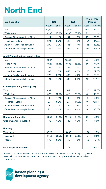#### **North End**

| <b>Total Population</b>                    | 2010   |              | 2020   |              | 2010 to 2020<br><b>Change</b> |          |
|--------------------------------------------|--------|--------------|--------|--------------|-------------------------------|----------|
|                                            | Count  | <b>Share</b> | Count  | <b>Share</b> | Count                         | Percent  |
| Total                                      | 10,131 |              | 10,805 |              | 674                           | 6.7%     |
| <b>White Alone</b>                         | 9,207  | 90.9%        | 9,306  | 86.1%        | 99                            | 1.1%     |
| <b>Black or African American Alone</b>     | 114    | 1.1%         | 141    | 1.3%         | 27                            | 23.7%    |
| Hispanic or Latino                         | 374    | 3.7%         | 528    | 4.9%         | 154                           | 41.2%    |
| Asian or Pacific Islander Alone            | 290    | 2.9%         | 445    | 4.1%         | 155                           | 53.4%    |
| <b>Other Races or Multiple Races</b>       | 146    | 1.4%         | 385    | 3.6%         | 239                           | 163.7%   |
| <b>Adult Population (age 18 and older)</b> |        |              |        |              |                               |          |
| Total                                      | 9,667  |              | 10,236 |              | 569                           | 5.9%     |
| <b>White Alone</b>                         | 8,829  | 91.3%        | 8,888  | 86.8%        | 59                            | 0.7%     |
| <b>Black or African American Alone</b>     | 105    | 1.1%         | 132    | 1.3%         | 27                            | 25.7%    |
| Hispanic or Latino                         | 337    | 3.5%         | 445    | 4.3%         | 108                           | 32.0%    |
| Asian or Pacific Islander Alone            | 275    | 2.8%         | 435    | 4.2%         | 160                           | 58.2%    |
| <b>Other Races or Multiple Races</b>       | 121    | 1.3%         | 336    | 3.3%         | 215                           | 177.7%   |
| <b>Child Population (under age 18)</b>     |        |              |        |              |                               |          |
| Total                                      | 464    |              | 569    |              | 105                           | 22.6%    |
| <b>White Alone</b>                         | 378    | 81.5%        | 418    | 73.5%        | 40                            | 10.6%    |
| <b>Black or African American Alone</b>     | 9      | 1.9%         | 9      | 1.6%         | $\mathbf 0$                   | 0.0%     |
| Hispanic or Latino                         | 37     | 8.0%         | 83     | 14.6%        | 46                            | 124.3%   |
| Asian or Pacific Islander Alone            | 15     | 3.2%         | 10     | 1.8%         | $-5$                          | $-33.3%$ |
| <b>Other Races or Multiple Races</b>       | 25     | 5.4%         | 49     | 8.6%         | 24                            | 96.0%    |
| <b>Household Population</b>                | 9,956  | 98.3%        | 10,616 | 98.3%        | 660                           | 6.6%     |
| <b>Group Quarter Population</b>            | 175    | 1.7%         | 189    | 1.7%         | 14                            | 8.0%     |
| <b>Housing</b>                             |        |              |        |              |                               |          |
| <b>Total Units</b>                         | 6,728  |              | 6,832  |              | 104                           | 1.5%     |
| Occupied                                   | 6,158  | 91.5%        | 6,314  | 92.4%        | 156                           | 2.5%     |
| Vacant                                     | 570    | 8.5%         | 518    | 7.6%         | $-52$                         | $-9.1%$  |
| <b>Persons per Household</b>               | 1.62   |              | 1.68   |              |                               | 0.0%     |

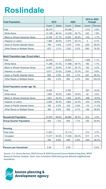#### **Roslindale**

| <b>Total Population</b>                    | 2010   |              | 2020   |              | 2010 to 2020<br><b>Change</b> |          |
|--------------------------------------------|--------|--------------|--------|--------------|-------------------------------|----------|
|                                            | Count  | <b>Share</b> | Count  | <b>Share</b> | Count                         | Percent  |
| Total                                      | 28,374 |              | 29,386 |              | 1,012                         | 3.6%     |
| <b>White Alone</b>                         | 13,196 | 46.5%        | 13,428 | 45.7%        | 232                           | 1.8%     |
| <b>Black or African American Alone</b>     | 6,148  | 21.7%        | 6,045  | 20.6%        | $-103$                        | $-1.7%$  |
| Hispanic or Latino                         | 7,369  | 26.0%        | 7,373  | 25.1%        | 4                             | 0.1%     |
| Asian or Pacific Islander Alone            | 789    | 2.8%         | 1,018  | 3.5%         | 229                           | 29.0%    |
| <b>Other Races or Multiple Races</b>       | 872    | 3.1%         | 1,522  | 5.2%         | 650                           | 74.5%    |
| <b>Adult Population (age 18 and older)</b> |        |              |        |              |                               |          |
| Total                                      | 22,035 |              | 23,604 |              | 1,569                         | 7.1%     |
| <b>White Alone</b>                         | 11,296 | 51.3%        | 11,486 | 48.7%        | 190                           | 1.7%     |
| <b>Black or African American Alone</b>     | 4,547  | 20.6%        | 4,740  | 20.1%        | 193                           | 4.2%     |
| Hispanic or Latino                         | 5,071  | 23.0%        | 5,508  | 23.3%        | 437                           | 8.6%     |
| Asian or Pacific Islander Alone            | 629    | 2.9%         | 876    | 3.7%         | 247                           | 39.3%    |
| <b>Other Races or Multiple Races</b>       | 492    | 2.2%         | 994    | 4.2%         | 502                           | 102.0%   |
| <b>Child Population (under age 18)</b>     |        |              |        |              |                               |          |
| Total                                      | 6,339  |              | 5,782  |              | $-557$                        | $-8.8%$  |
| <b>White Alone</b>                         | 1,900  | 30.0%        | 1,942  | 33.6%        | 42                            | 2.2%     |
| <b>Black or African American Alone</b>     | 1,601  | 25.3%        | 1,305  | 22.6%        | $-296$                        | $-18.5%$ |
| Hispanic or Latino                         | 2,298  | 36.3%        | 1,865  | 32.3%        | $-433$                        | $-18.8%$ |
| Asian or Pacific Islander Alone            | 160    | 2.5%         | 142    | 2.5%         | $-18$                         | $-11.3%$ |
| <b>Other Races or Multiple Races</b>       | 380    | 6.0%         | 528    | 9.1%         | 148                           | 38.9%    |
| <b>Household Population</b>                | 27,970 | 98.6%        | 28,882 | 98.3%        | 912                           | 3.3%     |
| <b>Group Quarter Population</b>            | 404    | 1.4%         | 504    | 1.7%         | 100                           | 24.8%    |
| <b>Housing</b>                             |        |              |        |              |                               |          |
| <b>Total Units</b>                         | 11,801 |              | 12,114 |              | 313                           | 2.7%     |
| Occupied                                   | 11,017 | 93.4%        | 11,534 | 95.2%        | 517                           | 4.7%     |
| Vacant                                     | 784    | 6.6%         | 580    | 4.8%         | $-204$                        | $-26.0%$ |
| <b>Persons per Household</b>               | 2.54   |              | 2.50   |              |                               | 0.0%     |

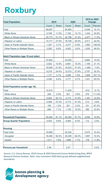#### **Roxbury**

| <b>Total Population</b>                    | 2010   |              | 2020   |              | 2010 to 2020<br><b>Change</b> |          |
|--------------------------------------------|--------|--------------|--------|--------------|-------------------------------|----------|
|                                            | Count  | <b>Share</b> | Count  | <b>Share</b> | Count                         | Percent  |
| Total                                      | 49,857 |              | 54,905 |              | 5,048                         | 10.1%    |
| <b>White Alone</b>                         | 5,748  | 11.5%        | 7,182  | 13.1%        | 1,434                         | 24.9%    |
| <b>Black or African American Alone</b>     | 25,773 | 51.7%        | 22,796 | 41.5%        | $-2,977$                      | $-11.6%$ |
| Hispanic or Latino                         | 13,717 | 27.5%        | 16,728 | 30.5%        | 3,011                         | 22.0%    |
| Asian or Pacific Islander Alone            | 1,327  | 2.7%         | 3,277  | 6.0%         | 1,950                         | 146.9%   |
| <b>Other Races or Multiple Races</b>       | 3,292  | 6.6%         | 4,922  | 9.0%         | 1,630                         | 49.5%    |
| <b>Adult Population (age 18 and older)</b> |        |              |        |              |                               |          |
| Total                                      | 37,842 |              | 43,502 |              | 5,660                         | 15.0%    |
| <b>White Alone</b>                         | 5,502  | 14.5%        | 6,661  | 15.3%        | 1,159                         | 21.1%    |
| <b>Black or African American Alone</b>     | 19,509 | 51.6%        | 18,023 | 41.4%        | $-1,486$                      | $-7.6%$  |
| Hispanic or Latino                         | 9,218  | 24.4%        | 12,015 | 27.6%        | 2,797                         | 30.3%    |
| Asian or Pacific Islander Alone            | 1,177  | 3.1%         | 3,026  | 7.0%         | 1,849                         | 157.1%   |
| <b>Other Races or Multiple Races</b>       | 2,436  | 6.4%         | 3,777  | 8.7%         | 1,341                         | 55.0%    |
| <b>Child Population (under age 18)</b>     |        |              |        |              |                               |          |
| Total                                      | 12,015 |              | 11,403 |              | $-612$                        | $-5.1%$  |
| <b>White Alone</b>                         | 246    | 2.0%         | 521    | 4.6%         | 275                           | 111.8%   |
| <b>Black or African American Alone</b>     | 6,264  | 52.1%        | 4,773  | 41.9%        | $-1,491$                      | $-23.8%$ |
| Hispanic or Latino                         | 4,499  | 37.4%        | 4,713  | 41.3%        | 214                           | 4.8%     |
| Asian or Pacific Islander Alone            | 150    | 1.2%         | 251    | 2.2%         | 101                           | 67.3%    |
| <b>Other Races or Multiple Races</b>       | 856    | 7.1%         | 1,145  | 10.0%        | 289                           | 33.8%    |
| <b>Household Population</b>                | 45,404 | 91.1%        | 50,340 | 91.7%        | 4,936                         | 10.9%    |
| <b>Group Quarter Population</b>            | 4,453  | 8.9%         | 4,565  | 8.3%         | 112                           | 2.5%     |
| <b>Housing</b>                             |        |              |        |              |                               |          |
| <b>Total Units</b>                         | 19,959 |              | 22,034 |              | 2,075                         | 10.4%    |
| Occupied                                   | 18,448 | 92.4%        | 20,345 | 92.3%        | 1,897                         | 10.3%    |
| Vacant                                     | 1,511  | 7.6%         | 1,689  | 7.7%         | 178                           | 11.8%    |
| <b>Persons per Household</b>               | 2.46   |              | 2.47   |              |                               | 0.0%     |

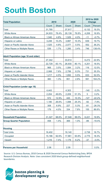#### **South Boston**

| <b>Total Population</b>                    | 2010   |              | 2020   |              | 2010 to 2020<br><b>Change</b> |          |
|--------------------------------------------|--------|--------------|--------|--------------|-------------------------------|----------|
|                                            | Count  | <b>Share</b> | Count  | <b>Share</b> | Count                         | Percent  |
| Total                                      | 31,785 |              | 37,917 |              | 6,132                         | 19.3%    |
| <b>White Alone</b>                         | 24,933 | 78.4%        | 29,139 | 76.8%        | 4,206                         | 16.9%    |
| <b>Black or African American Alone</b>     | 1,540  | 4.8%         | 1,529  | 4.0%         | $-11$                         | $-0.7%$  |
| Hispanic or Latino                         | 3,248  | 10.2%        | 3,887  | 10.3%        | 639                           | 19.7%    |
| Asian or Pacific Islander Alone            | 1,525  | 4.8%         | 2,077  | 5.5%         | 552                           | 36.2%    |
| <b>Other Races or Multiple Races</b>       | 539    | 1.7%         | 1,285  | 3.4%         | 746                           | 138.4%   |
| <b>Adult Population (age 18 and older)</b> |        |              |        |              |                               |          |
| Total                                      | 27,342 |              | 33,614 |              | 6,272                         | 22.9%    |
| <b>White Alone</b>                         | 22,729 | 83.1%        | 26,930 | 80.1%        | 4,201                         | 18.5%    |
| <b>Black or African American Alone</b>     | 968    | 3.5%         | 1,084  | 3.2%         | 116                           | 12.0%    |
| Hispanic or Latino                         | 2,068  | 7.6%         | 2,799  | 8.3%         | 731                           | 35.3%    |
| Asian or Pacific Islander Alone            | 1,217  | 4.5%         | 1,850  | 5.5%         | 633                           | 52.0%    |
| <b>Other Races or Multiple Races</b>       | 360    | 1.3%         | 951    | 2.8%         | 591                           | 164.2%   |
| <b>Child Population (under age 18)</b>     |        |              |        |              |                               |          |
| Total                                      | 4,443  |              | 4,303  |              | $-140$                        | $-3.2%$  |
| <b>White Alone</b>                         | 2,204  | 49.6%        | 2,209  | 51.3%        | 5                             | 0.2%     |
| <b>Black or African American Alone</b>     | 572    | 12.9%        | 445    | 10.3%        | $-127$                        | $-22.2%$ |
| Hispanic or Latino                         | 1,180  | 26.6%        | 1,088  | 25.3%        | $-92$                         | $-7.8%$  |
| Asian or Pacific Islander Alone            | 308    | 6.9%         | 227    | 5.3%         | $-81$                         | $-26.3%$ |
| <b>Other Races or Multiple Races</b>       | 179    | 4.0%         | 334    | 7.8%         | 155                           | 86.6%    |
| <b>Household Population</b>                | 31,327 | 98.6%        | 37,548 | 99.0%        | 6,221                         | 19.9%    |
| <b>Group Quarter Population</b>            | 458    | 1.4%         | 369    | 1.0%         | $-89$                         | $-19.4%$ |
| <b>Housing</b>                             |        |              |        |              |                               |          |
| <b>Total Units</b>                         | 16,402 |              | 19,140 |              | 2,738                         | 16.7%    |
| Occupied                                   | 15,186 | 92.6%        | 17,961 | 93.8%        | 2,775                         | 18.3%    |
| Vacant                                     | 1,216  | 7.4%         | 1,179  | 6.2%         | $-37$                         | $-3.0%$  |
| <b>Persons per Household</b>               | 2.06   |              | 2.09   |              |                               | 0.0%     |

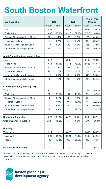#### **South Boston Waterfront**

| <b>Total Population</b>                    | 2010        |              | 2020  |              | 2010 to 2020<br><b>Change</b> |          |
|--------------------------------------------|-------------|--------------|-------|--------------|-------------------------------|----------|
|                                            | Count       | <b>Share</b> | Count | <b>Share</b> | Count                         | Percent  |
| Total                                      | 1,889       |              | 5,579 |              | 3,690                         | 195.3%   |
| <b>White Alone</b>                         | 1,605       | 85.0%        | 4,315 | 77.3%        | 2,710                         | 168.8%   |
| <b>Black or African American Alone</b>     | 32          | 1.7%         | 160   | 2.9%         | 128                           | 400.0%   |
| Hispanic or Latino                         | 97          | 5.1%         | 316   | 5.7%         | 219                           | 225.8%   |
| Asian or Pacific Islander Alone            | 117         | 6.2%         | 482   | 8.6%         | 365                           | 312.0%   |
| <b>Other Races or Multiple Races</b>       | 38          | 2.0%         | 306   | 5.5%         | 268                           | 705.3%   |
| <b>Adult Population (age 18 and older)</b> |             |              |       |              |                               |          |
| Total                                      | 1,817       |              | 5,286 |              | 3,469                         | 190.9%   |
| <b>White Alone</b>                         | 1,543       | 84.9%        | 4,171 | 78.9%        | 2,628                         | 170.3%   |
| <b>Black or African American Alone</b>     | 32          | 1.8%         | 138   | 2.6%         | 106                           | 331.3%   |
| Hispanic or Latino                         | 96          | 5.3%         | 270   | 5.1%         | 174                           | 181.3%   |
| Asian or Pacific Islander Alone            | 113         | 6.2%         | 458   | 8.7%         | 345                           | 305.3%   |
| <b>Other Races or Multiple Races</b>       | 33          | 1.8%         | 249   | 4.7%         | 216                           | 654.5%   |
| <b>Child Population (under age 18)</b>     |             |              |       |              |                               |          |
| Total                                      | 72          |              | 293   |              | 221                           | 306.9%   |
| <b>White Alone</b>                         | 62          | 86.1%        | 144   | 49.1%        | 82                            | 132.3%   |
| <b>Black or African American Alone</b>     | $\mathbf 0$ | 0.0%         | 22    | 7.5%         | 22                            |          |
| Hispanic or Latino                         | 1           | 1.4%         | 46    | 15.7%        | 45                            | 4500.0%  |
| Asian or Pacific Islander Alone            | 4           | 5.6%         | 24    | 8.2%         | 20                            | 500.0%   |
| <b>Other Races or Multiple Races</b>       | 5           | 6.9%         | 57    | 19.5%        | 52                            | 1040.0%  |
| <b>Household Population</b>                | 1,678       | 88.8%        | 5,578 | 100.0%       | 3,900                         | 232.4%   |
| <b>Group Quarter Population</b>            | 211         | 11.2%        | 1     | 0.0%         | $-210$                        | $-99.5%$ |
| <b>Housing</b>                             |             |              |       |              |                               |          |
| <b>Total Units</b>                         | 1,214       |              | 4,622 |              | 3,408                         | 280.7%   |
| Occupied                                   | 1,028       | 84.7%        | 3,624 | 78.4%        | 2,596                         | 252.5%   |
| Vacant                                     | 186         | 15.3%        | 998   | 21.6%        | 812                           | 436.6%   |
| <b>Persons per Household</b>               | 1.63        |              | 1.54  |              |                               | 0.0%     |

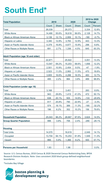#### **South End\***

| <b>Total Population</b>                    | 2010   |              | 2020   |              | 2010 to 2020<br><b>Change</b> |          |
|--------------------------------------------|--------|--------------|--------|--------------|-------------------------------|----------|
|                                            | Count  | <b>Share</b> | Count  | <b>Share</b> | Count                         | Percent  |
| Total                                      | 26,039 |              | 29,373 |              | 3,334                         | 12.8%    |
| <b>White Alone</b>                         | 14,490 | 55.6%        | 16,618 | 56.6%        | 2,128                         | 14.7%    |
| <b>Black or African American Alone</b>     | 3,139  | 12.1%        | 2,959  | 10.1%        | $-180$                        | $-5.7%$  |
| Hispanic or Latino                         | 3,340  | 12.8%        | 3,783  | 12.9%        | 443                           | 13.3%    |
| Asian or Pacific Islander Alone            | 4,379  | 16.8%        | 4,677  | 15.9%        | 298                           | 6.8%     |
| <b>Other Races or Multiple Races</b>       | 691    | 2.7%         | 1,336  | 4.5%         | 645                           | 93.3%    |
| <b>Adult Population (age 18 and older)</b> |        |              |        |              |                               |          |
| Total                                      | 22,871 |              | 25,922 |              | 3,051                         | 13.3%    |
| <b>White Alone</b>                         | 13,547 | 59.2%        | 15,203 | 58.6%        | 1,656                         | 12.2%    |
| <b>Black or African American Alone</b>     | 2,501  | 10.9%        | 2,454  | 9.5%         | $-47$                         | $-1.9%$  |
| Hispanic or Latino                         | 2,523  | 11.0%        | 2,993  | 11.5%        | 470                           | 18.6%    |
| Asian or Pacific Islander Alone            | 3,805  | 16.6%        | 4,288  | 16.5%        | 483                           | 12.7%    |
| <b>Other Races or Multiple Races</b>       | 495    | 2.2%         | 984    | 3.8%         | 489                           | 98.8%    |
| <b>Child Population (under age 18)</b>     |        |              |        |              |                               |          |
| Total                                      | 3,168  |              | 3,451  |              | 283                           | 8.9%     |
| <b>White Alone</b>                         | 943    | 29.8%        | 1,415  | 41.0%        | 472                           | 50.1%    |
| <b>Black or African American Alone</b>     | 638    | 20.1%        | 505    | 14.6%        | $-133$                        | $-20.8%$ |
| Hispanic or Latino                         | 817    | 25.8%        | 790    | 22.9%        | $-27$                         | $-3.3%$  |
| Asian or Pacific Islander Alone            | 574    | 18.1%        | 389    | 11.3%        | $-185$                        | $-32.2%$ |
| <b>Other Races or Multiple Races</b>       | 196    | 6.2%         | 352    | 10.2%        | 156                           | 79.6%    |
| <b>Household Population</b>                | 25,043 | 96.2%        | 28,667 | 97.6%        | 3,624                         | 14.5%    |
| <b>Group Quarter Population</b>            | 996    | 3.8%         | 706    | 2.4%         | $-290$                        | $-29.1%$ |
| <b>Housing</b>                             |        |              |        |              |                               |          |
| <b>Total Units</b>                         | 14,570 |              | 16,619 |              | 2,049                         | 14.1%    |
| Occupied                                   | 13,704 | 94.1%        | 15,253 | 91.8%        | 1,549                         | 11.3%    |
| Vacant                                     | 866    | 5.9%         | 1,366  | 8.2%         | 500                           | 57.7%    |
| <b>Persons per Household</b>               | 1.83   |              | 1.88   |              |                               | 0.0%     |

Source: U.S. Census Bureau, 2010 Census & 2020 Decennial Census Redistricting Data, BPDA Research Division Analysis. Note: Uses consistent 2020 block group-defined neighborhood boundaries.

\*Includes Bay Village

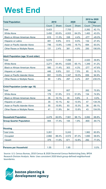#### **West End**

| <b>Total Population</b>                    | 2010  |              | 2020  |              | 2010 to 2020<br><b>Change</b> |          |
|--------------------------------------------|-------|--------------|-------|--------------|-------------------------------|----------|
|                                            | Count | <b>Share</b> | Count | <b>Share</b> | Count                         | Percent  |
| Total                                      | 5,423 |              | 7,705 |              | 2,282                         | 42.1%    |
| <b>White Alone</b>                         | 3,450 | 63.6%        | 4,933 | 64.0%        | 1,483                         | 43.0%    |
| <b>Black or African American Alone</b>     | 615   | 11.3%        | 338   | 4.4%         | $-277$                        | $-45.0%$ |
| Hispanic or Latino                         | 481   | 8.9%         | 613   | 8.0%         | 132                           | 27.4%    |
| Asian or Pacific Islander Alone            | 746   | 13.8%        | 1,440 | 18.7%        | 694                           | 93.0%    |
| <b>Other Races or Multiple Races</b>       | 131   | 2.4%         | 381   | 4.9%         | 250                           | 190.8%   |
| <b>Adult Population (age 18 and older)</b> |       |              |       |              |                               |          |
| Total                                      | 5,078 |              | 7,098 |              | 2,020                         | 39.8%    |
| <b>White Alone</b>                         | 3,271 | 64.4%        | 4,620 | 65.1%        | 1,349                         | 41.2%    |
| <b>Black or African American Alone</b>     | 580   | 11.4%        | 303   | 4.3%         | $-277$                        | $-47.8%$ |
| Hispanic or Latino                         | 446   | 8.8%         | 531   | 7.5%         | 85                            | 19.1%    |
| Asian or Pacific Islander Alone            | 691   | 13.6%        | 1,347 | 19.0%        | 656                           | 94.9%    |
| <b>Other Races or Multiple Races</b>       | 90    | 1.8%         | 297   | 4.2%         | 207                           | 230.0%   |
| <b>Child Population (under age 18)</b>     |       |              |       |              |                               |          |
| Total                                      | 345   |              | 607   |              | 262                           | 75.9%    |
| <b>White Alone</b>                         | 179   | 51.9%        | 313   | 51.6%        | 134                           | 74.9%    |
| <b>Black or African American Alone</b>     | 35    | 10.1%        | 35    | 5.8%         | $\mathbf 0$                   | 0.0%     |
| Hispanic or Latino                         | 35    | 10.1%        | 82    | 13.5%        | 47                            | 134.3%   |
| Asian or Pacific Islander Alone            | 55    | 15.9%        | 93    | 15.3%        | 38                            | 69.1%    |
| <b>Other Races or Multiple Races</b>       | 41    | 11.9%        | 84    | 13.8%        | 43                            | 104.9%   |
| <b>Household Population</b>                | 4,479 | 82.6%        | 7,561 | 98.1%        | 3,082                         | 68.8%    |
| <b>Group Quarter Population</b>            | 944   | 17.4%        | 144   | 1.9%         | $-800$                        | $-84.7%$ |
|                                            |       |              |       |              |                               |          |
| <b>Housing</b>                             |       |              |       |              |                               |          |
| <b>Total Units</b>                         | 3,261 |              | 5,243 |              | 1,982                         | 60.8%    |
| Occupied                                   | 2,882 | 88.4%        | 4,572 | 87.2%        | 1,690                         | 58.6%    |
| Vacant                                     | 379   | 11.6%        | 671   | 12.8%        | 292                           | 77.0%    |
| <b>Persons per Household</b>               | 1.55  |              | 1.65  |              |                               | 0.0%     |